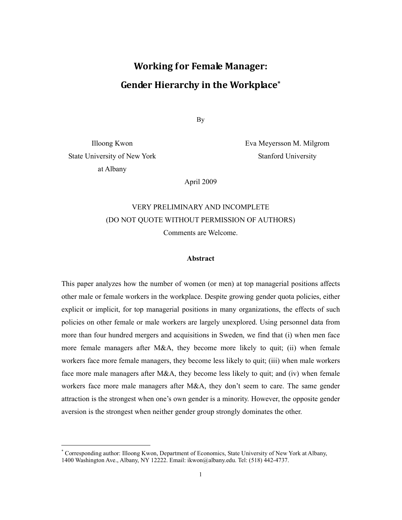# Working for Female Manager: Gender Hierarchy in the Workplace\*

By

State University of New York at Albany

-

Illoong Kwon Eva Meyersson M. Milgrom Stanford University

April 2009

## VERY PRELIMINARY AND INCOMPLETE (DO NOT QUOTE WITHOUT PERMISSION OF AUTHORS) Comments are Welcome.

#### Abstract

This paper analyzes how the number of women (or men) at top managerial positions affects other male or female workers in the workplace. Despite growing gender quota policies, either explicit or implicit, for top managerial positions in many organizations, the effects of such policies on other female or male workers are largely unexplored. Using personnel data from more than four hundred mergers and acquisitions in Sweden, we find that (i) when men face more female managers after M&A, they become more likely to quit; (ii) when female workers face more female managers, they become less likely to quit; (iii) when male workers face more male managers after M&A, they become less likely to quit; and (iv) when female workers face more male managers after M&A, they don't seem to care. The same gender attraction is the strongest when one's own gender is a minority. However, the opposite gender aversion is the strongest when neither gender group strongly dominates the other.

<sup>\*</sup> Corresponding author: Illoong Kwon, Department of Economics, State University of New York at Albany, 1400 Washington Ave., Albany, NY 12222. Email: ikwon@albany.edu. Tel: (518) 442-4737.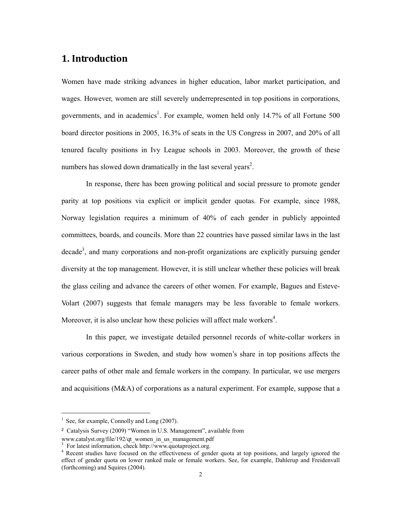## 1. Introduction

Women have made striking advances in higher education, labor market participation, and wages. However, women are still severely underrepresented in top positions in corporations, governments, and in academics<sup>1</sup>. For example, women held only 14.7% of all Fortune 500 board director positions in 2005, 16.3% of seats in the US Congress in 2007, and 20% of all tenured faculty positions in Ivy League schools in 2003. Moreover, the growth of these numbers has slowed down dramatically in the last several years<sup>2</sup>.

In response, there has been growing political and social pressure to promote gender parity at top positions via explicit or implicit gender quotas. For example, since 1988, Norway legislation requires a minimum of 40% of each gender in publicly appointed committees, boards, and councils. More than 22 countries have passed similar laws in the last  $decade<sup>3</sup>$ , and many corporations and non-profit organizations are explicitly pursuing gender diversity at the top management. However, it is still unclear whether these policies will break the glass ceiling and advance the careers of other women. For example, Bagues and Esteve-Volart (2007) suggests that female managers may be less favorable to female workers. Moreover, it is also unclear how these policies will affect male workers<sup>4</sup>.

In this paper, we investigate detailed personnel records of white-collar workers in various corporations in Sweden, and study how women's share in top positions affects the career paths of other male and female workers in the company. In particular, we use mergers and acquisitions (M&A) of corporations as a natural experiment. For example, suppose that a

-

<sup>&</sup>lt;sup>1</sup> See, for example, Connolly and Long (2007).

<sup>2</sup> Catalysis Survey (2009) "Women in U.S. Management", available from

www.catalyst.org/file/192/qt\_women\_in\_us\_management.pdf

<sup>3</sup> For latest information, check http://www.quotaproject.org.

<sup>&</sup>lt;sup>4</sup> Recent studies have focused on the effectiveness of gender quota at top positions, and largely ignored the effect of gender quota on lower ranked male or female workers. See, for example, Dahlerup and Freidenvall (forthcoming) and Squires (2004).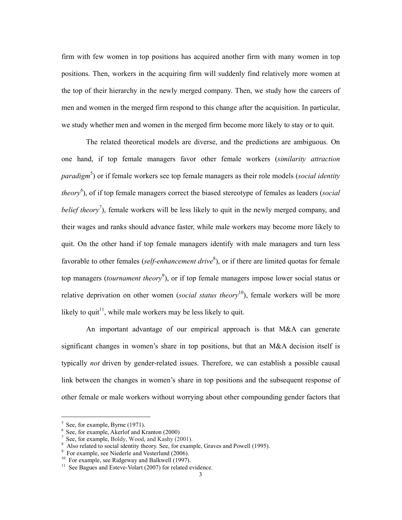firm with few women in top positions has acquired another firm with many women in top positions. Then, workers in the acquiring firm will suddenly find relatively more women at the top of their hierarchy in the newly merged company. Then, we study how the careers of men and women in the merged firm respond to this change after the acquisition. In particular, we study whether men and women in the merged firm become more likely to stay or to quit.

The related theoretical models are diverse, and the predictions are ambiguous. On one hand, if top female managers favor other female workers (similarity attraction *paradigm*<sup>5</sup>) or if female workers see top female managers as their role models (*social identity theory*<sup>6</sup>), of if top female managers correct the biased stereotype of females as leaders (social belief theory<sup>7</sup>), female workers will be less likely to quit in the newly merged company, and their wages and ranks should advance faster, while male workers may become more likely to quit. On the other hand if top female managers identify with male managers and turn less favorable to other females (self-enhancement drive<sup>8</sup>), or if there are limited quotas for female top managers (*tournament theory*<sup>9</sup>), or if top female managers impose lower social status or relative deprivation on other women (social status theory<sup>10</sup>), female workers will be more likely to quit<sup>11</sup>, while male workers may be less likely to quit.

An important advantage of our empirical approach is that M&A can generate significant changes in women's share in top positions, but that an M&A decision itself is typically not driven by gender-related issues. Therefore, we can establish a possible causal link between the changes in women's share in top positions and the subsequent response of other female or male workers without worrying about other compounding gender factors that

-

<sup>5</sup> See, for example, Byrne (1971).

<sup>6</sup> See, for example, Akerlof and Kranton (2000)

<sup>7</sup> See, for example, Boldy, Wood, and Kashy (2001).

<sup>&</sup>lt;sup>8</sup> Also related to social identity theory. See, for example, Graves and Powell (1995).

<sup>9</sup> For example, see Niederle and Vesterlund (2006).

 $10$  For example, see Ridgeway and Balkwell (1997).

 $11$  See Bagues and Esteve-Volart (2007) for related evidence.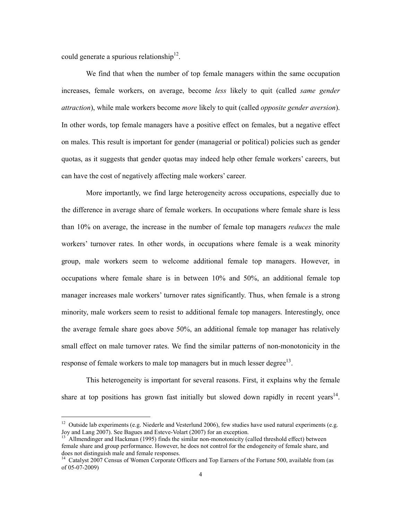could generate a spurious relationship<sup>12</sup>.

-

We find that when the number of top female managers within the same occupation increases, female workers, on average, become *less* likely to quit (called *same gender* attraction), while male workers become *more* likely to quit (called *opposite gender aversion*). In other words, top female managers have a positive effect on females, but a negative effect on males. This result is important for gender (managerial or political) policies such as gender quotas, as it suggests that gender quotas may indeed help other female workers' careers, but can have the cost of negatively affecting male workers' career.

More importantly, we find large heterogeneity across occupations, especially due to the difference in average share of female workers. In occupations where female share is less than 10% on average, the increase in the number of female top managers *reduces* the male workers' turnover rates. In other words, in occupations where female is a weak minority group, male workers seem to welcome additional female top managers. However, in occupations where female share is in between 10% and 50%, an additional female top manager increases male workers' turnover rates significantly. Thus, when female is a strong minority, male workers seem to resist to additional female top managers. Interestingly, once the average female share goes above 50%, an additional female top manager has relatively small effect on male turnover rates. We find the similar patterns of non-monotonicity in the response of female workers to male top managers but in much lesser degree $13$ .

 This heterogeneity is important for several reasons. First, it explains why the female share at top positions has grown fast initially but slowed down rapidly in recent years<sup>14</sup>.

 $12$  Outside lab experiments (e.g. Niederle and Vesterlund 2006), few studies have used natural experiments (e.g. Joy and Lang 2007). See Bagues and Esteve-Volart (2007) for an exception.

<sup>13</sup> Allmendinger and Hackman (1995) finds the similar non-monotonicity (called threshold effect) between female share and group performance. However, he does not control for the endogeneity of female share, and does not distinguish male and female responses.

<sup>&</sup>lt;sup>14</sup> Catalyst 2007 Census of Women Corporate Officers and Top Earners of the Fortune 500, available from (as of 05-07-2009)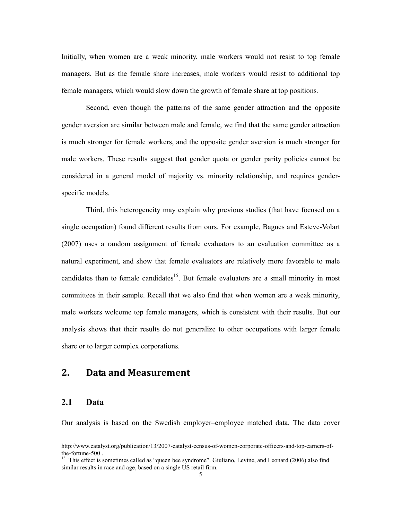Initially, when women are a weak minority, male workers would not resist to top female managers. But as the female share increases, male workers would resist to additional top female managers, which would slow down the growth of female share at top positions.

 Second, even though the patterns of the same gender attraction and the opposite gender aversion are similar between male and female, we find that the same gender attraction is much stronger for female workers, and the opposite gender aversion is much stronger for male workers. These results suggest that gender quota or gender parity policies cannot be considered in a general model of majority vs. minority relationship, and requires genderspecific models.

 Third, this heterogeneity may explain why previous studies (that have focused on a single occupation) found different results from ours. For example, Bagues and Esteve-Volart (2007) uses a random assignment of female evaluators to an evaluation committee as a natural experiment, and show that female evaluators are relatively more favorable to male candidates than to female candidates<sup>15</sup>. But female evaluators are a small minority in most committees in their sample. Recall that we also find that when women are a weak minority, male workers welcome top female managers, which is consistent with their results. But our analysis shows that their results do not generalize to other occupations with larger female share or to larger complex corporations.

## 2. Data and Measurement

## 2.1 Data

j

Our analysis is based on the Swedish employer–employee matched data. The data cover

http://www.catalyst.org/publication/13/2007-catalyst-census-of-women-corporate-officers-and-top-earners-ofthe-fortune-500 .

<sup>&</sup>lt;sup>15</sup> This effect is sometimes called as "queen bee syndrome". Giuliano, Levine, and Leonard (2006) also find similar results in race and age, based on a single US retail firm.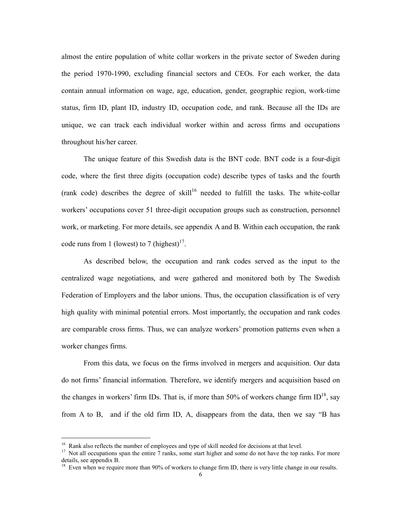almost the entire population of white collar workers in the private sector of Sweden during the period 1970-1990, excluding financial sectors and CEOs. For each worker, the data contain annual information on wage, age, education, gender, geographic region, work-time status, firm ID, plant ID, industry ID, occupation code, and rank. Because all the IDs are unique, we can track each individual worker within and across firms and occupations throughout his/her career.

The unique feature of this Swedish data is the BNT code. BNT code is a four-digit code, where the first three digits (occupation code) describe types of tasks and the fourth (rank code) describes the degree of skill<sup>16</sup> needed to fulfill the tasks. The white-collar workers' occupations cover 51 three-digit occupation groups such as construction, personnel work, or marketing. For more details, see appendix A and B. Within each occupation, the rank code runs from 1 (lowest) to 7 (highest) $17$ .

As described below, the occupation and rank codes served as the input to the centralized wage negotiations, and were gathered and monitored both by The Swedish Federation of Employers and the labor unions. Thus, the occupation classification is of very high quality with minimal potential errors. Most importantly, the occupation and rank codes are comparable cross firms. Thus, we can analyze workers' promotion patterns even when a worker changes firms.

From this data, we focus on the firms involved in mergers and acquisition. Our data do not firms' financial information. Therefore, we identify mergers and acquisition based on the changes in workers' firm IDs. That is, if more than 50% of workers change firm  $ID^{18}$ , say from A to B, and if the old firm ID, A, disappears from the data, then we say "B has

-

<sup>&</sup>lt;sup>16</sup> Rank also reflects the number of employees and type of skill needed for decisions at that level.

 $17$  Not all occupations span the entire  $7$  ranks, some start higher and some do not have the top ranks. For more details, see appendix B.

<sup>&</sup>lt;sup>18</sup> Even when we require more than 90% of workers to change firm ID, there is very little change in our results.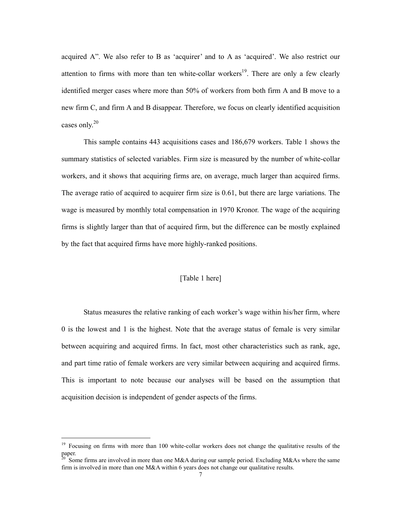acquired A". We also refer to B as 'acquirer' and to A as 'acquired'. We also restrict our attention to firms with more than ten white-collar workers<sup>19</sup>. There are only a few clearly identified merger cases where more than 50% of workers from both firm A and B move to a new firm C, and firm A and B disappear. Therefore, we focus on clearly identified acquisition cases only.<sup>20</sup>

This sample contains 443 acquisitions cases and 186,679 workers. Table 1 shows the summary statistics of selected variables. Firm size is measured by the number of white-collar workers, and it shows that acquiring firms are, on average, much larger than acquired firms. The average ratio of acquired to acquirer firm size is 0.61, but there are large variations. The wage is measured by monthly total compensation in 1970 Kronor. The wage of the acquiring firms is slightly larger than that of acquired firm, but the difference can be mostly explained by the fact that acquired firms have more highly-ranked positions.

## [Table 1 here]

Status measures the relative ranking of each worker's wage within his/her firm, where 0 is the lowest and 1 is the highest. Note that the average status of female is very similar between acquiring and acquired firms. In fact, most other characteristics such as rank, age, and part time ratio of female workers are very similar between acquiring and acquired firms. This is important to note because our analyses will be based on the assumption that acquisition decision is independent of gender aspects of the firms.

-

<sup>&</sup>lt;sup>19</sup> Focusing on firms with more than 100 white-collar workers does not change the qualitative results of the paper.

 $20$  Some firms are involved in more than one M&A during our sample period. Excluding M&As where the same firm is involved in more than one M&A within 6 years does not change our qualitative results.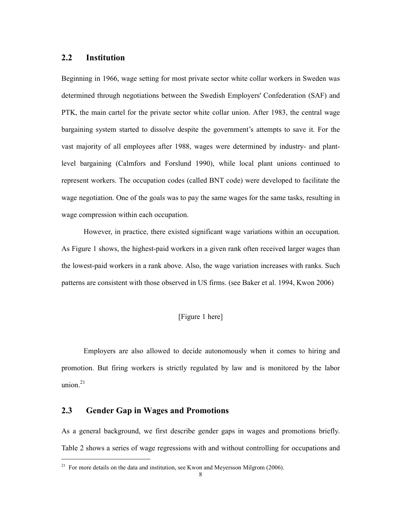## 2.2 Institution

Beginning in 1966, wage setting for most private sector white collar workers in Sweden was determined through negotiations between the Swedish Employers' Confederation (SAF) and PTK, the main cartel for the private sector white collar union. After 1983, the central wage bargaining system started to dissolve despite the government's attempts to save it. For the vast majority of all employees after 1988, wages were determined by industry- and plantlevel bargaining (Calmfors and Forslund 1990), while local plant unions continued to represent workers. The occupation codes (called BNT code) were developed to facilitate the wage negotiation. One of the goals was to pay the same wages for the same tasks, resulting in wage compression within each occupation.

However, in practice, there existed significant wage variations within an occupation. As Figure 1 shows, the highest-paid workers in a given rank often received larger wages than the lowest-paid workers in a rank above. Also, the wage variation increases with ranks. Such patterns are consistent with those observed in US firms. (see Baker et al. 1994, Kwon 2006)

## [Figure 1 here]

Employers are also allowed to decide autonomously when it comes to hiring and promotion. But firing workers is strictly regulated by law and is monitored by the labor union. $21$ 

## 2.3 Gender Gap in Wages and Promotions

-

As a general background, we first describe gender gaps in wages and promotions briefly. Table 2 shows a series of wage regressions with and without controlling for occupations and

<sup>&</sup>lt;sup>21</sup> For more details on the data and institution, see Kwon and Meyersson Milgrom (2006).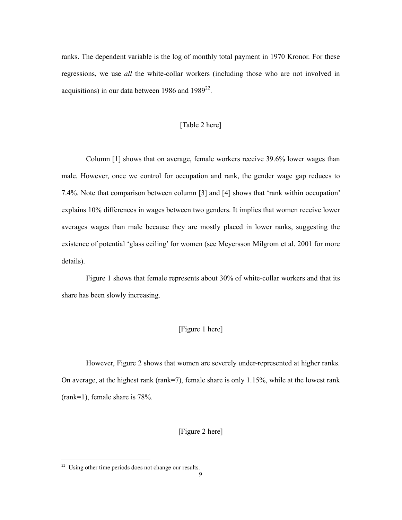ranks. The dependent variable is the log of monthly total payment in 1970 Kronor. For these regressions, we use all the white-collar workers (including those who are not involved in acquisitions) in our data between 1986 and  $1989^{22}$ .

### [Table 2 here]

Column [1] shows that on average, female workers receive 39.6% lower wages than male. However, once we control for occupation and rank, the gender wage gap reduces to 7.4%. Note that comparison between column [3] and [4] shows that 'rank within occupation' explains 10% differences in wages between two genders. It implies that women receive lower averages wages than male because they are mostly placed in lower ranks, suggesting the existence of potential 'glass ceiling' for women (see Meyersson Milgrom et al. 2001 for more details).

Figure 1 shows that female represents about 30% of white-collar workers and that its share has been slowly increasing.

## [Figure 1 here]

However, Figure 2 shows that women are severely under-represented at higher ranks. On average, at the highest rank (rank=7), female share is only 1.15%, while at the lowest rank (rank=1), female share is 78%.

[Figure 2 here]

-

<sup>&</sup>lt;sup>22</sup> Using other time periods does not change our results.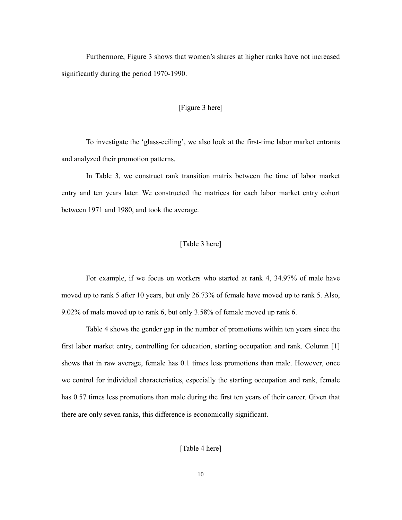Furthermore, Figure 3 shows that women's shares at higher ranks have not increased significantly during the period 1970-1990.

#### [Figure 3 here]

To investigate the 'glass-ceiling', we also look at the first-time labor market entrants and analyzed their promotion patterns.

In Table 3, we construct rank transition matrix between the time of labor market entry and ten years later. We constructed the matrices for each labor market entry cohort between 1971 and 1980, and took the average.

## [Table 3 here]

For example, if we focus on workers who started at rank 4, 34.97% of male have moved up to rank 5 after 10 years, but only 26.73% of female have moved up to rank 5. Also, 9.02% of male moved up to rank 6, but only 3.58% of female moved up rank 6.

Table 4 shows the gender gap in the number of promotions within ten years since the first labor market entry, controlling for education, starting occupation and rank. Column [1] shows that in raw average, female has 0.1 times less promotions than male. However, once we control for individual characteristics, especially the starting occupation and rank, female has 0.57 times less promotions than male during the first ten years of their career. Given that there are only seven ranks, this difference is economically significant.

[Table 4 here]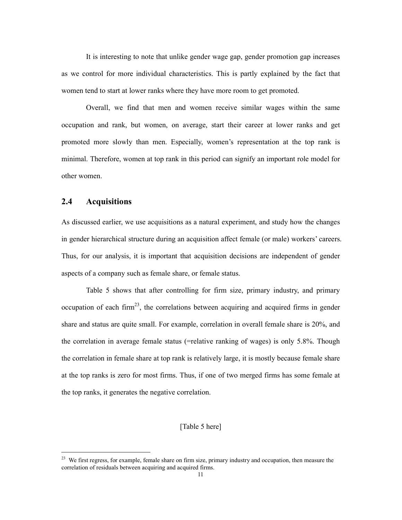It is interesting to note that unlike gender wage gap, gender promotion gap increases as we control for more individual characteristics. This is partly explained by the fact that women tend to start at lower ranks where they have more room to get promoted.

Overall, we find that men and women receive similar wages within the same occupation and rank, but women, on average, start their career at lower ranks and get promoted more slowly than men. Especially, women's representation at the top rank is minimal. Therefore, women at top rank in this period can signify an important role model for other women.

## 2.4 Acquisitions

-

As discussed earlier, we use acquisitions as a natural experiment, and study how the changes in gender hierarchical structure during an acquisition affect female (or male) workers' careers. Thus, for our analysis, it is important that acquisition decisions are independent of gender aspects of a company such as female share, or female status.

 Table 5 shows that after controlling for firm size, primary industry, and primary occupation of each firm<sup>23</sup>, the correlations between acquiring and acquired firms in gender share and status are quite small. For example, correlation in overall female share is 20%, and the correlation in average female status (=relative ranking of wages) is only 5.8%. Though the correlation in female share at top rank is relatively large, it is mostly because female share at the top ranks is zero for most firms. Thus, if one of two merged firms has some female at the top ranks, it generates the negative correlation.

## [Table 5 here]

<sup>&</sup>lt;sup>23</sup> We first regress, for example, female share on firm size, primary industry and occupation, then measure the correlation of residuals between acquiring and acquired firms.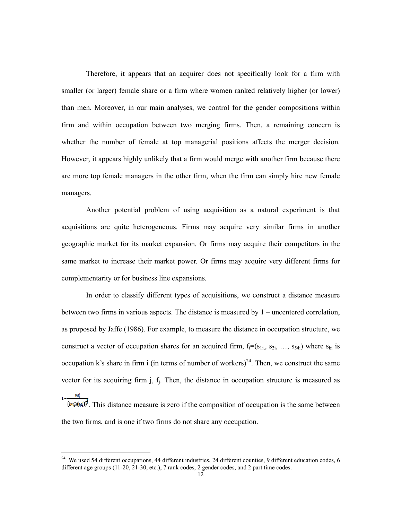Therefore, it appears that an acquirer does not specifically look for a firm with smaller (or larger) female share or a firm where women ranked relatively higher (or lower) than men. Moreover, in our main analyses, we control for the gender compositions within firm and within occupation between two merging firms. Then, a remaining concern is whether the number of female at top managerial positions affects the merger decision. However, it appears highly unlikely that a firm would merge with another firm because there are more top female managers in the other firm, when the firm can simply hire new female managers.

Another potential problem of using acquisition as a natural experiment is that acquisitions are quite heterogeneous. Firms may acquire very similar firms in another geographic market for its market expansion. Or firms may acquire their competitors in the same market to increase their market power. Or firms may acquire very different firms for complementarity or for business line expansions.

In order to classify different types of acquisitions, we construct a distance measure between two firms in various aspects. The distance is measured by 1 – uncentered correlation, as proposed by Jaffe (1986). For example, to measure the distance in occupation structure, we construct a vector of occupation shares for an acquired firm,  $f_i=(s_{1i_1}, s_{2i_2}, \ldots, s_{54i})$  where  $s_{ki}$  is occupation k's share in firm i (in terms of number of workers)<sup>24</sup>. Then, we construct the same vector for its acquiring firm  $j$ ,  $f_j$ . Then, the distance in occupation structure is measured as  $1-\frac{f_i f_j'}{f_i}$ 

 $(6.6)$ <sup>t</sup>. This distance measure is zero if the composition of occupation is the same between the two firms, and is one if two firms do not share any occupation.

-

<sup>&</sup>lt;sup>24</sup> We used 54 different occupations, 44 different industries, 24 different counties, 9 different education codes, 6 different age groups (11-20, 21-30, etc.), 7 rank codes, 2 gender codes, and 2 part time codes.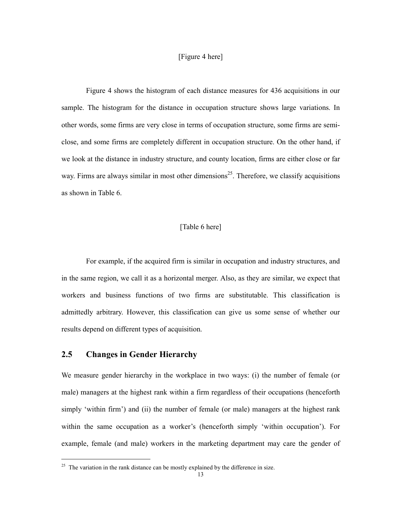### [Figure 4 here]

Figure 4 shows the histogram of each distance measures for 436 acquisitions in our sample. The histogram for the distance in occupation structure shows large variations. In other words, some firms are very close in terms of occupation structure, some firms are semiclose, and some firms are completely different in occupation structure. On the other hand, if we look at the distance in industry structure, and county location, firms are either close or far way. Firms are always similar in most other dimensions<sup>25</sup>. Therefore, we classify acquisitions as shown in Table 6.

## [Table 6 here]

 For example, if the acquired firm is similar in occupation and industry structures, and in the same region, we call it as a horizontal merger. Also, as they are similar, we expect that workers and business functions of two firms are substitutable. This classification is admittedly arbitrary. However, this classification can give us some sense of whether our results depend on different types of acquisition.

## 2.5 Changes in Gender Hierarchy

-

We measure gender hierarchy in the workplace in two ways: (i) the number of female (or male) managers at the highest rank within a firm regardless of their occupations (henceforth simply 'within firm') and (ii) the number of female (or male) managers at the highest rank within the same occupation as a worker's (henceforth simply 'within occupation'). For example, female (and male) workers in the marketing department may care the gender of

 $25$  The variation in the rank distance can be mostly explained by the difference in size.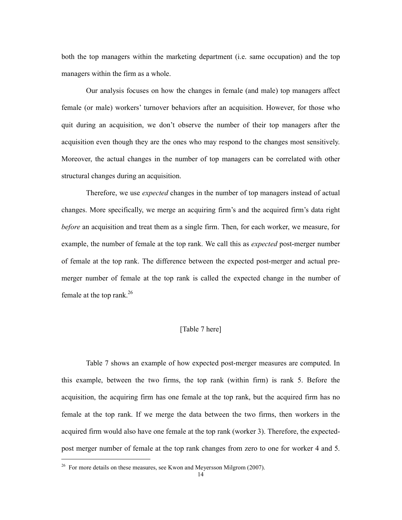both the top managers within the marketing department (i.e. same occupation) and the top managers within the firm as a whole.

 Our analysis focuses on how the changes in female (and male) top managers affect female (or male) workers' turnover behaviors after an acquisition. However, for those who quit during an acquisition, we don't observe the number of their top managers after the acquisition even though they are the ones who may respond to the changes most sensitively. Moreover, the actual changes in the number of top managers can be correlated with other structural changes during an acquisition.

 Therefore, we use expected changes in the number of top managers instead of actual changes. More specifically, we merge an acquiring firm's and the acquired firm's data right before an acquisition and treat them as a single firm. Then, for each worker, we measure, for example, the number of female at the top rank. We call this as *expected* post-merger number of female at the top rank. The difference between the expected post-merger and actual premerger number of female at the top rank is called the expected change in the number of female at the top rank. $26$ 

## [Table 7 here]

 Table 7 shows an example of how expected post-merger measures are computed. In this example, between the two firms, the top rank (within firm) is rank 5. Before the acquisition, the acquiring firm has one female at the top rank, but the acquired firm has no female at the top rank. If we merge the data between the two firms, then workers in the acquired firm would also have one female at the top rank (worker 3). Therefore, the expectedpost merger number of female at the top rank changes from zero to one for worker 4 and 5.

-

<sup>&</sup>lt;sup>26</sup> For more details on these measures, see Kwon and Meyersson Milgrom (2007).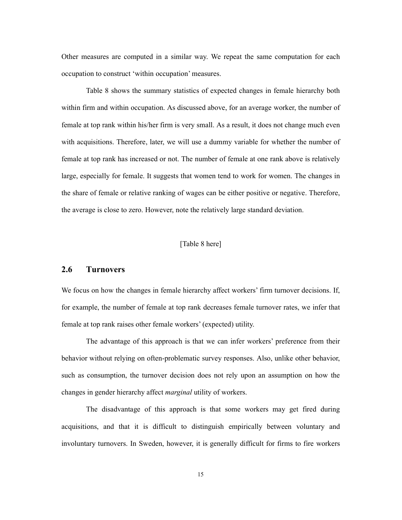Other measures are computed in a similar way. We repeat the same computation for each occupation to construct 'within occupation' measures.

Table 8 shows the summary statistics of expected changes in female hierarchy both within firm and within occupation. As discussed above, for an average worker, the number of female at top rank within his/her firm is very small. As a result, it does not change much even with acquisitions. Therefore, later, we will use a dummy variable for whether the number of female at top rank has increased or not. The number of female at one rank above is relatively large, especially for female. It suggests that women tend to work for women. The changes in the share of female or relative ranking of wages can be either positive or negative. Therefore, the average is close to zero. However, note the relatively large standard deviation.

## [Table 8 here]

#### 2.6 Turnovers

We focus on how the changes in female hierarchy affect workers' firm turnover decisions. If, for example, the number of female at top rank decreases female turnover rates, we infer that female at top rank raises other female workers' (expected) utility.

The advantage of this approach is that we can infer workers' preference from their behavior without relying on often-problematic survey responses. Also, unlike other behavior, such as consumption, the turnover decision does not rely upon an assumption on how the changes in gender hierarchy affect marginal utility of workers.

 The disadvantage of this approach is that some workers may get fired during acquisitions, and that it is difficult to distinguish empirically between voluntary and involuntary turnovers. In Sweden, however, it is generally difficult for firms to fire workers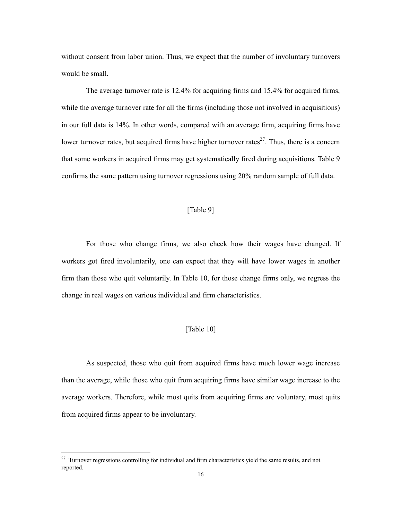without consent from labor union. Thus, we expect that the number of involuntary turnovers would be small.

 The average turnover rate is 12.4% for acquiring firms and 15.4% for acquired firms, while the average turnover rate for all the firms (including those not involved in acquisitions) in our full data is 14%. In other words, compared with an average firm, acquiring firms have lower turnover rates, but acquired firms have higher turnover rates<sup>27</sup>. Thus, there is a concern that some workers in acquired firms may get systematically fired during acquisitions. Table 9 confirms the same pattern using turnover regressions using 20% random sample of full data.

## [Table 9]

For those who change firms, we also check how their wages have changed. If workers got fired involuntarily, one can expect that they will have lower wages in another firm than those who quit voluntarily. In Table 10, for those change firms only, we regress the change in real wages on various individual and firm characteristics.

## [Table 10]

As suspected, those who quit from acquired firms have much lower wage increase than the average, while those who quit from acquiring firms have similar wage increase to the average workers. Therefore, while most quits from acquiring firms are voluntary, most quits from acquired firms appear to be involuntary.

-

<sup>&</sup>lt;sup>27</sup> Turnover regressions controlling for individual and firm characteristics yield the same results, and not reported.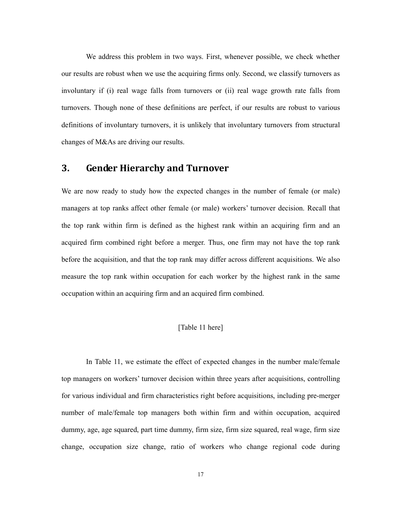We address this problem in two ways. First, whenever possible, we check whether our results are robust when we use the acquiring firms only. Second, we classify turnovers as involuntary if (i) real wage falls from turnovers or (ii) real wage growth rate falls from turnovers. Though none of these definitions are perfect, if our results are robust to various definitions of involuntary turnovers, it is unlikely that involuntary turnovers from structural changes of M&As are driving our results.

## 3. Gender Hierarchy and Turnover

We are now ready to study how the expected changes in the number of female (or male) managers at top ranks affect other female (or male) workers' turnover decision. Recall that the top rank within firm is defined as the highest rank within an acquiring firm and an acquired firm combined right before a merger. Thus, one firm may not have the top rank before the acquisition, and that the top rank may differ across different acquisitions. We also measure the top rank within occupation for each worker by the highest rank in the same occupation within an acquiring firm and an acquired firm combined.

#### [Table 11 here]

 In Table 11, we estimate the effect of expected changes in the number male/female top managers on workers' turnover decision within three years after acquisitions, controlling for various individual and firm characteristics right before acquisitions, including pre-merger number of male/female top managers both within firm and within occupation, acquired dummy, age, age squared, part time dummy, firm size, firm size squared, real wage, firm size change, occupation size change, ratio of workers who change regional code during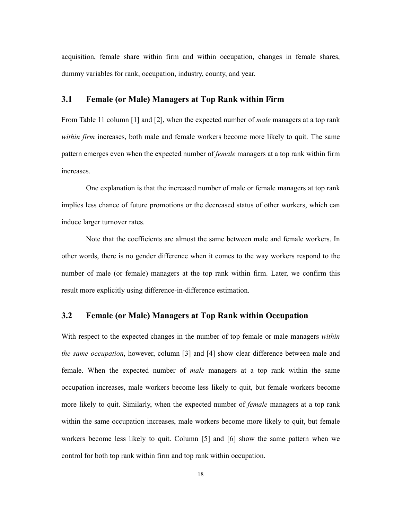acquisition, female share within firm and within occupation, changes in female shares, dummy variables for rank, occupation, industry, county, and year.

## 3.1 Female (or Male) Managers at Top Rank within Firm

From Table 11 column [1] and [2], when the expected number of *male* managers at a top rank within firm increases, both male and female workers become more likely to quit. The same pattern emerges even when the expected number of *female* managers at a top rank within firm increases.

 One explanation is that the increased number of male or female managers at top rank implies less chance of future promotions or the decreased status of other workers, which can induce larger turnover rates.

 Note that the coefficients are almost the same between male and female workers. In other words, there is no gender difference when it comes to the way workers respond to the number of male (or female) managers at the top rank within firm. Later, we confirm this result more explicitly using difference-in-difference estimation.

## 3.2 Female (or Male) Managers at Top Rank within Occupation

With respect to the expected changes in the number of top female or male managers *within* the same occupation, however, column [3] and [4] show clear difference between male and female. When the expected number of *male* managers at a top rank within the same occupation increases, male workers become less likely to quit, but female workers become more likely to quit. Similarly, when the expected number of *female* managers at a top rank within the same occupation increases, male workers become more likely to quit, but female workers become less likely to quit. Column [5] and [6] show the same pattern when we control for both top rank within firm and top rank within occupation.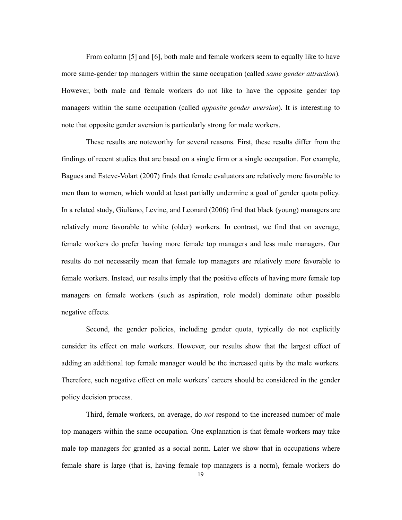From column [5] and [6], both male and female workers seem to equally like to have more same-gender top managers within the same occupation (called *same gender attraction*). However, both male and female workers do not like to have the opposite gender top managers within the same occupation (called *opposite gender aversion*). It is interesting to note that opposite gender aversion is particularly strong for male workers.

These results are noteworthy for several reasons. First, these results differ from the findings of recent studies that are based on a single firm or a single occupation. For example, Bagues and Esteve-Volart (2007) finds that female evaluators are relatively more favorable to men than to women, which would at least partially undermine a goal of gender quota policy. In a related study, Giuliano, Levine, and Leonard (2006) find that black (young) managers are relatively more favorable to white (older) workers. In contrast, we find that on average, female workers do prefer having more female top managers and less male managers. Our results do not necessarily mean that female top managers are relatively more favorable to female workers. Instead, our results imply that the positive effects of having more female top managers on female workers (such as aspiration, role model) dominate other possible negative effects.

Second, the gender policies, including gender quota, typically do not explicitly consider its effect on male workers. However, our results show that the largest effect of adding an additional top female manager would be the increased quits by the male workers. Therefore, such negative effect on male workers' careers should be considered in the gender policy decision process.

Third, female workers, on average, do not respond to the increased number of male top managers within the same occupation. One explanation is that female workers may take male top managers for granted as a social norm. Later we show that in occupations where female share is large (that is, having female top managers is a norm), female workers do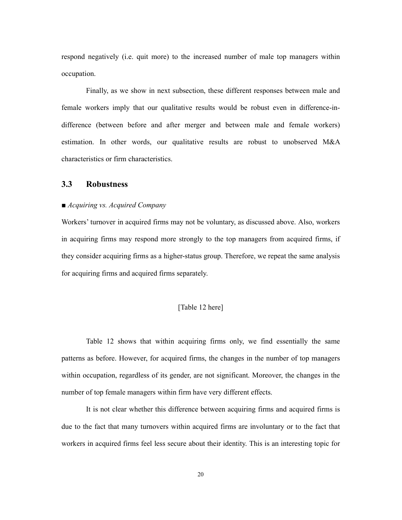respond negatively (i.e. quit more) to the increased number of male top managers within occupation.

Finally, as we show in next subsection, these different responses between male and female workers imply that our qualitative results would be robust even in difference-indifference (between before and after merger and between male and female workers) estimation. In other words, our qualitative results are robust to unobserved M&A characteristics or firm characteristics.

## 3.3 Robustness

#### ■ Acquiring vs. Acquired Company

Workers' turnover in acquired firms may not be voluntary, as discussed above. Also, workers in acquiring firms may respond more strongly to the top managers from acquired firms, if they consider acquiring firms as a higher-status group. Therefore, we repeat the same analysis for acquiring firms and acquired firms separately.

### [Table 12 here]

 Table 12 shows that within acquiring firms only, we find essentially the same patterns as before. However, for acquired firms, the changes in the number of top managers within occupation, regardless of its gender, are not significant. Moreover, the changes in the number of top female managers within firm have very different effects.

 It is not clear whether this difference between acquiring firms and acquired firms is due to the fact that many turnovers within acquired firms are involuntary or to the fact that workers in acquired firms feel less secure about their identity. This is an interesting topic for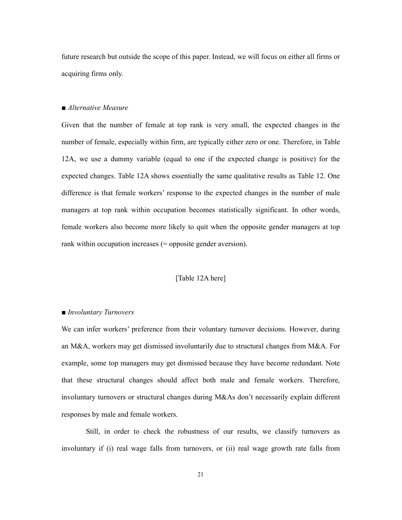future research but outside the scope of this paper. Instead, we will focus on either all firms or acquiring firms only.

#### ■ Alternative Measure

Given that the number of female at top rank is very small, the expected changes in the number of female, especially within firm, are typically either zero or one. Therefore, in Table 12A, we use a dummy variable (equal to one if the expected change is positive) for the expected changes. Table 12A shows essentially the same qualitative results as Table 12. One difference is that female workers' response to the expected changes in the number of male managers at top rank within occupation becomes statistically significant. In other words, female workers also become more likely to quit when the opposite gender managers at top rank within occupation increases (= opposite gender aversion).

#### [Table 12A here]

#### ■ *Involuntary Turnovers*

We can infer workers' preference from their voluntary turnover decisions. However, during an M&A, workers may get dismissed involuntarily due to structural changes from M&A. For example, some top managers may get dismissed because they have become redundant. Note that these structural changes should affect both male and female workers. Therefore, involuntary turnovers or structural changes during M&As don't necessarily explain different responses by male and female workers.

 Still, in order to check the robustness of our results, we classify turnovers as involuntary if (i) real wage falls from turnovers, or (ii) real wage growth rate falls from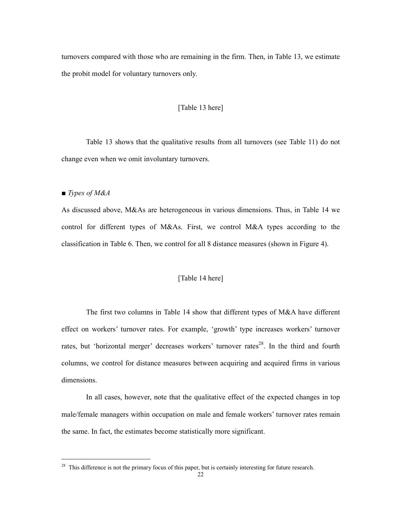turnovers compared with those who are remaining in the firm. Then, in Table 13, we estimate the probit model for voluntary turnovers only.

#### [Table 13 here]

 Table 13 shows that the qualitative results from all turnovers (see Table 11) do not change even when we omit involuntary turnovers.

■ Types of M&A

-

As discussed above, M&As are heterogeneous in various dimensions. Thus, in Table 14 we control for different types of M&As. First, we control M&A types according to the classification in Table 6. Then, we control for all 8 distance measures (shown in Figure 4).

## [Table 14 here]

 The first two columns in Table 14 show that different types of M&A have different effect on workers' turnover rates. For example, 'growth' type increases workers' turnover rates, but 'horizontal merger' decreases workers' turnover rates<sup>28</sup>. In the third and fourth columns, we control for distance measures between acquiring and acquired firms in various dimensions.

 In all cases, however, note that the qualitative effect of the expected changes in top male/female managers within occupation on male and female workers' turnover rates remain the same. In fact, the estimates become statistically more significant.

<sup>&</sup>lt;sup>28</sup> This difference is not the primary focus of this paper, but is certainly interesting for future research.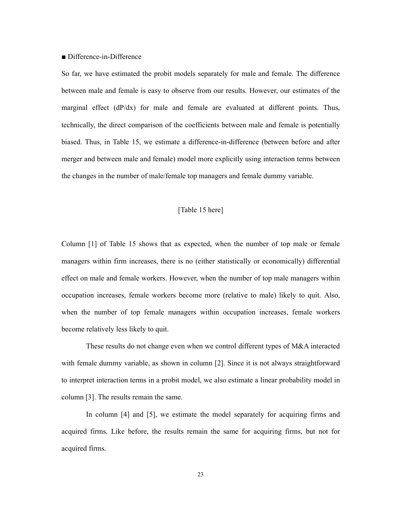#### ■ Difference-in-Difference

So far, we have estimated the probit models separately for male and female. The difference between male and female is easy to observe from our results. However, our estimates of the marginal effect (dP/dx) for male and female are evaluated at different points. Thus, technically, the direct comparison of the coefficients between male and female is potentially biased. Thus, in Table 15, we estimate a difference-in-difference (between before and after merger and between male and female) model more explicitly using interaction terms between the changes in the number of male/female top managers and female dummy variable.

## [Table 15 here]

Column [1] of Table 15 shows that as expected, when the number of top male or female managers within firm increases, there is no (either statistically or economically) differential effect on male and female workers. However, when the number of top male managers within occupation increases, female workers become more (relative to male) likely to quit. Also, when the number of top female managers within occupation increases, female workers become relatively less likely to quit.

 These results do not change even when we control different types of M&A interacted with female dummy variable, as shown in column [2]. Since it is not always straightforward to interpret interaction terms in a probit model, we also estimate a linear probability model in column [3]. The results remain the same.

 In column [4] and [5], we estimate the model separately for acquiring firms and acquired firms. Like before, the results remain the same for acquiring firms, but not for acquired firms.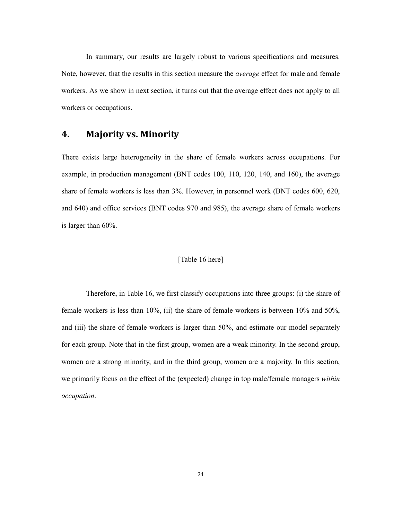In summary, our results are largely robust to various specifications and measures. Note, however, that the results in this section measure the *average* effect for male and female workers. As we show in next section, it turns out that the average effect does not apply to all workers or occupations.

## 4. Majority vs. Minority

There exists large heterogeneity in the share of female workers across occupations. For example, in production management (BNT codes 100, 110, 120, 140, and 160), the average share of female workers is less than 3%. However, in personnel work (BNT codes 600, 620, and 640) and office services (BNT codes 970 and 985), the average share of female workers is larger than 60%.

### [Table 16 here]

Therefore, in Table 16, we first classify occupations into three groups: (i) the share of female workers is less than 10%, (ii) the share of female workers is between 10% and 50%, and (iii) the share of female workers is larger than 50%, and estimate our model separately for each group. Note that in the first group, women are a weak minority. In the second group, women are a strong minority, and in the third group, women are a majority. In this section, we primarily focus on the effect of the (expected) change in top male/female managers within occupation.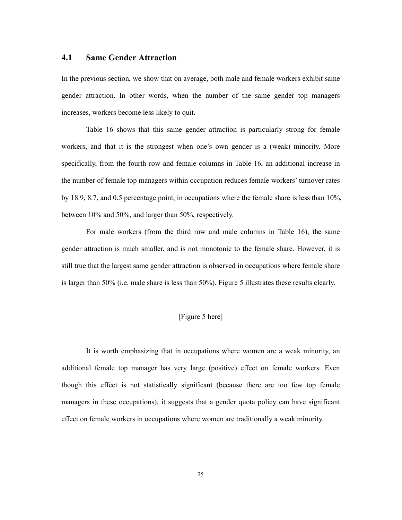## 4.1 Same Gender Attraction

In the previous section, we show that on average, both male and female workers exhibit same gender attraction. In other words, when the number of the same gender top managers increases, workers become less likely to quit.

Table 16 shows that this same gender attraction is particularly strong for female workers, and that it is the strongest when one's own gender is a (weak) minority. More specifically, from the fourth row and female columns in Table 16, an additional increase in the number of female top managers within occupation reduces female workers' turnover rates by 18.9, 8.7, and 0.5 percentage point, in occupations where the female share is less than 10%, between 10% and 50%, and larger than 50%, respectively.

 For male workers (from the third row and male columns in Table 16), the same gender attraction is much smaller, and is not monotonic to the female share. However, it is still true that the largest same gender attraction is observed in occupations where female share is larger than 50% (i.e. male share is less than 50%). Figure 5 illustrates these results clearly.

## [Figure 5 here]

 It is worth emphasizing that in occupations where women are a weak minority, an additional female top manager has very large (positive) effect on female workers. Even though this effect is not statistically significant (because there are too few top female managers in these occupations), it suggests that a gender quota policy can have significant effect on female workers in occupations where women are traditionally a weak minority.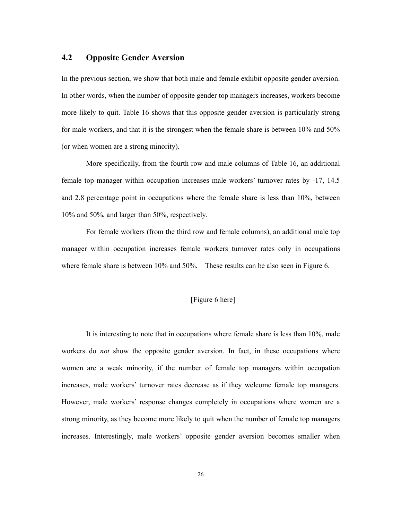## 4.2 Opposite Gender Aversion

In the previous section, we show that both male and female exhibit opposite gender aversion. In other words, when the number of opposite gender top managers increases, workers become more likely to quit. Table 16 shows that this opposite gender aversion is particularly strong for male workers, and that it is the strongest when the female share is between 10% and 50% (or when women are a strong minority).

More specifically, from the fourth row and male columns of Table 16, an additional female top manager within occupation increases male workers' turnover rates by -17, 14.5 and 2.8 percentage point in occupations where the female share is less than 10%, between 10% and 50%, and larger than 50%, respectively.

For female workers (from the third row and female columns), an additional male top manager within occupation increases female workers turnover rates only in occupations where female share is between 10% and 50%. These results can be also seen in Figure 6.

### [Figure 6 here]

It is interesting to note that in occupations where female share is less than 10%, male workers do *not* show the opposite gender aversion. In fact, in these occupations where women are a weak minority, if the number of female top managers within occupation increases, male workers' turnover rates decrease as if they welcome female top managers. However, male workers' response changes completely in occupations where women are a strong minority, as they become more likely to quit when the number of female top managers increases. Interestingly, male workers' opposite gender aversion becomes smaller when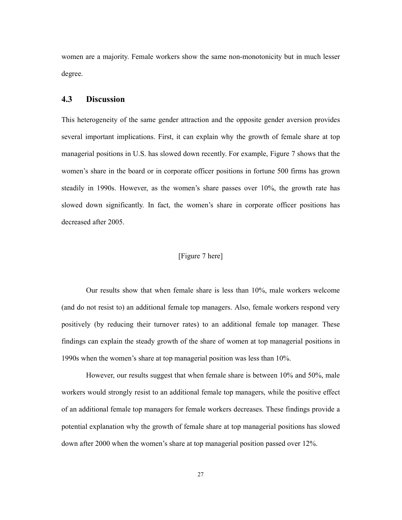women are a majority. Female workers show the same non-monotonicity but in much lesser degree.

## 4.3 Discussion

This heterogeneity of the same gender attraction and the opposite gender aversion provides several important implications. First, it can explain why the growth of female share at top managerial positions in U.S. has slowed down recently. For example, Figure 7 shows that the women's share in the board or in corporate officer positions in fortune 500 firms has grown steadily in 1990s. However, as the women's share passes over 10%, the growth rate has slowed down significantly. In fact, the women's share in corporate officer positions has decreased after 2005.

## [Figure 7 here]

Our results show that when female share is less than 10%, male workers welcome (and do not resist to) an additional female top managers. Also, female workers respond very positively (by reducing their turnover rates) to an additional female top manager. These findings can explain the steady growth of the share of women at top managerial positions in 1990s when the women's share at top managerial position was less than 10%.

However, our results suggest that when female share is between 10% and 50%, male workers would strongly resist to an additional female top managers, while the positive effect of an additional female top managers for female workers decreases. These findings provide a potential explanation why the growth of female share at top managerial positions has slowed down after 2000 when the women's share at top managerial position passed over 12%.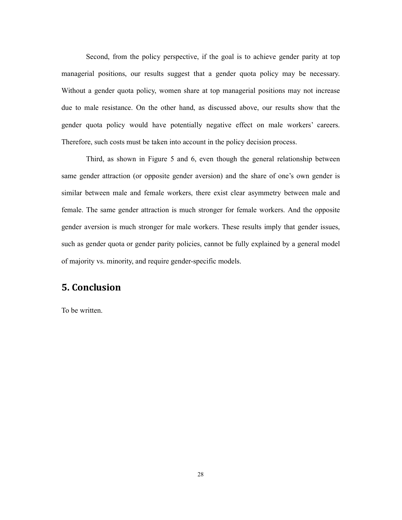Second, from the policy perspective, if the goal is to achieve gender parity at top managerial positions, our results suggest that a gender quota policy may be necessary. Without a gender quota policy, women share at top managerial positions may not increase due to male resistance. On the other hand, as discussed above, our results show that the gender quota policy would have potentially negative effect on male workers' careers. Therefore, such costs must be taken into account in the policy decision process.

Third, as shown in Figure 5 and 6, even though the general relationship between same gender attraction (or opposite gender aversion) and the share of one's own gender is similar between male and female workers, there exist clear asymmetry between male and female. The same gender attraction is much stronger for female workers. And the opposite gender aversion is much stronger for male workers. These results imply that gender issues, such as gender quota or gender parity policies, cannot be fully explained by a general model of majority vs. minority, and require gender-specific models.

## 5. Conclusion

To be written.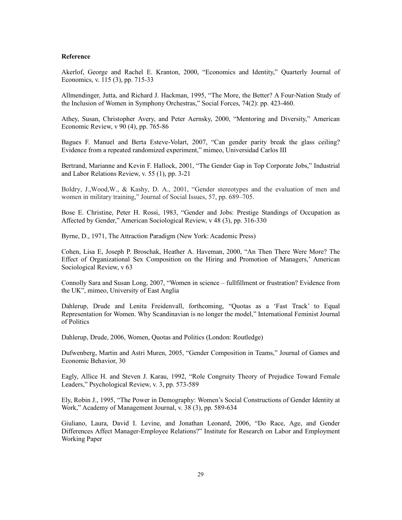#### Reference

Akerlof, George and Rachel E. Kranton, 2000, "Economics and Identity," Quarterly Journal of Economics, v. 115 (3), pp. 715-33

Allmendinger, Jutta, and Richard J. Hackman, 1995, "The More, the Better? A Four-Nation Study of the Inclusion of Women in Symphony Orchestras," Social Forces, 74(2): pp. 423-460.

Athey, Susan, Christopher Avery, and Peter Aernsky, 2000, "Mentoring and Diversity," American Economic Review, v 90 (4), pp. 765-86

Bagues F. Manuel and Berta Esteve-Volart, 2007, "Can gender parity break the glass ceiling? Evidence from a repeated randomized experiment," mimeo, Universidad Carlos III

Bertrand, Marianne and Kevin F. Hallock, 2001, "The Gender Gap in Top Corporate Jobs," Industrial and Labor Relations Review, v. 55 (1), pp. 3-21

Boldry, J.,Wood,W., & Kashy, D. A., 2001, "Gender stereotypes and the evaluation of men and women in military training," Journal of Social Issues, 57, pp. 689–705.

Bose E. Christine, Peter H. Rossi, 1983, "Gender and Jobs: Prestige Standings of Occupation as Affected by Gender," American Sociological Review, v 48 (3), pp. 316-330

Byrne, D., 1971, The Attraction Paradigm (New York: Academic Press)

Cohen, Lisa E, Joseph P. Broschak, Heather A. Haveman, 2000, "An Then There Were More? The Effect of Organizational Sex Composition on the Hiring and Promotion of Managers,' American Sociological Review, v 63

Connolly Sara and Susan Long, 2007, "Women in science – fullfillment or frustration? Evidence from the UK", mimeo, University of East Anglia

Dahlerup, Drude and Lenita Freidenvall, forthcoming, "Quotas as a 'Fast Track' to Equal Representation for Women. Why Scandinavian is no longer the model," International Feminist Journal of Politics

Dahlerup, Drude, 2006, Women, Quotas and Politics (London: Routledge)

Dufwenberg, Martin and Astri Muren, 2005, "Gender Composition in Teams," Journal of Games and Economic Behavior, 30

Eagly, Allice H. and Steven J. Karau, 1992, "Role Congruity Theory of Prejudice Toward Female Leaders," Psychological Review, v. 3, pp. 573-589

Ely, Robin J., 1995, "The Power in Demography: Women's Social Constructions of Gender Identity at Work," Academy of Management Journal, v. 38 (3), pp. 589-634

Giuliano, Laura, David I. Levine, and Jonathan Leonard, 2006, "Do Race, Age, and Gender Differences Affect Manager-Employee Relations?" Institute for Research on Labor and Employment Working Paper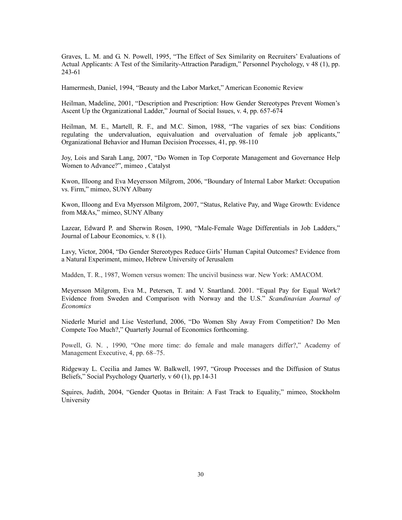Graves, L. M. and G. N. Powell, 1995, "The Effect of Sex Similarity on Recruiters' Evaluations of Actual Applicants: A Test of the Similarity-Attraction Paradigm," Personnel Psychology, v 48 (1), pp. 243-61

Hamermesh, Daniel, 1994, "Beauty and the Labor Market," American Economic Review

Heilman, Madeline, 2001, "Description and Prescription: How Gender Stereotypes Prevent Women's Ascent Up the Organizational Ladder," Journal of Social Issues, v. 4, pp. 657-674

Heilman, M. E., Martell, R. F., and M.C. Simon, 1988, "The vagaries of sex bias: Conditions regulating the undervaluation, equivaluation and overvaluation of female job applicants," Organizational Behavior and Human Decision Processes, 41, pp. 98-110

Joy, Lois and Sarah Lang, 2007, "Do Women in Top Corporate Management and Governance Help Women to Advance?", mimeo , Catalyst

Kwon, Illoong and Eva Meyersson Milgrom, 2006, "Boundary of Internal Labor Market: Occupation vs. Firm," mimeo, SUNY Albany

Kwon, Illoong and Eva Myersson Milgrom, 2007, "Status, Relative Pay, and Wage Growth: Evidence from M&As," mimeo, SUNY Albany

Lazear, Edward P. and Sherwin Rosen, 1990, "Male-Female Wage Differentials in Job Ladders," Journal of Labour Economics, v. 8 (1).

Lavy, Victor, 2004, "Do Gender Stereotypes Reduce Girls' Human Capital Outcomes? Evidence from a Natural Experiment, mimeo, Hebrew University of Jerusalem

Madden, T. R., 1987, Women versus women: The uncivil business war. New York: AMACOM.

Meyersson Milgrom, Eva M., Petersen, T. and V. Snartland. 2001. "Equal Pay for Equal Work? Evidence from Sweden and Comparison with Norway and the U.S." Scandinavian Journal of **Economics** 

Niederle Muriel and Lise Vesterlund, 2006, "Do Women Shy Away From Competition? Do Men Compete Too Much?," Quarterly Journal of Economics forthcoming.

Powell, G. N. , 1990, "One more time: do female and male managers differ?," Academy of Management Executive, 4, pp. 68–75.

Ridgeway L. Cecilia and James W. Balkwell, 1997, "Group Processes and the Diffusion of Status Beliefs," Social Psychology Quarterly, v 60 (1), pp.14-31

Squires, Judith, 2004, "Gender Quotas in Britain: A Fast Track to Equality," mimeo, Stockholm University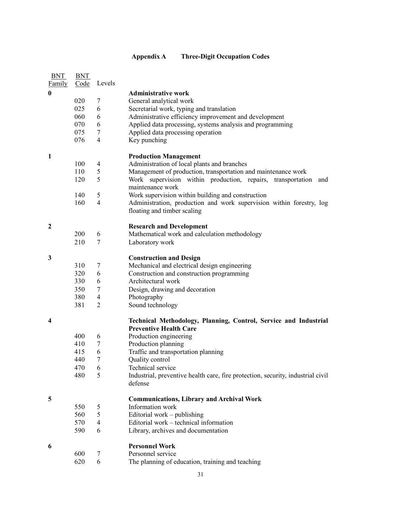## Appendix A Three-Digit Occupation Codes

| <b>BNT</b>          | <b>BNT</b> |                |                                                                                 |
|---------------------|------------|----------------|---------------------------------------------------------------------------------|
| <b>Family</b>       | Code       | Levels         |                                                                                 |
| $\bf{0}$            |            |                | <b>Administrative work</b>                                                      |
|                     | 020        | 7              | General analytical work                                                         |
|                     | 025        | 6              | Secretarial work, typing and translation                                        |
|                     | 060        | 6              | Administrative efficiency improvement and development                           |
|                     | 070        | 6              | Applied data processing, systems analysis and programming                       |
|                     | 075        | 7              | Applied data processing operation                                               |
|                     | 076        | $\overline{4}$ | Key punching                                                                    |
|                     |            |                |                                                                                 |
| 1                   |            |                | <b>Production Management</b>                                                    |
|                     | 100        | $\overline{4}$ | Administration of local plants and branches                                     |
|                     | 110        | 5              | Management of production, transportation and maintenance work                   |
|                     | 120        | 5              | Work supervision within production, repairs, transportation                     |
|                     |            |                | and<br>maintenance work                                                         |
|                     |            |                |                                                                                 |
|                     | 140        | 5              | Work supervision within building and construction                               |
|                     | 160        | $\overline{4}$ | Administration, production and work supervision within forestry, log            |
|                     |            |                | floating and timber scaling                                                     |
|                     |            |                |                                                                                 |
| $\boldsymbol{2}$    |            |                | <b>Research and Development</b>                                                 |
|                     | 200        | 6              | Mathematical work and calculation methodology                                   |
|                     | 210        | 7              | Laboratory work                                                                 |
| 3                   |            |                | <b>Construction and Design</b>                                                  |
|                     | 310        | 7              | Mechanical and electrical design engineering                                    |
|                     | 320        | 6              | Construction and construction programming                                       |
|                     | 330        | 6              | Architectural work                                                              |
|                     | 350        | 7              | Design, drawing and decoration                                                  |
|                     | 380        | 4              | Photography                                                                     |
|                     | 381        | 2              | Sound technology                                                                |
|                     |            |                |                                                                                 |
| $\overline{\bf{4}}$ |            |                | Technical Methodology, Planning, Control, Service and Industrial                |
|                     |            |                | <b>Preventive Health Care</b>                                                   |
|                     | 400        | 6              | Production engineering                                                          |
|                     | 410        | 7              | Production planning                                                             |
|                     | 415        | 6              | Traffic and transportation planning                                             |
|                     | 440        | $\tau$         | Quality control                                                                 |
|                     | 470        | 6              | Technical service                                                               |
|                     | 480        | 5              | Industrial, preventive health care, fire protection, security, industrial civil |
|                     |            |                | defense                                                                         |
| 5                   |            |                |                                                                                 |
|                     |            |                | <b>Communications, Library and Archival Work</b><br>Information work            |
|                     | 550        | 5              |                                                                                 |
|                     | 560        | 5              | Editorial work – publishing                                                     |
|                     | 570        | 4              | Editorial work – technical information                                          |
|                     | 590        | 6              | Library, archives and documentation                                             |
| 6                   |            |                | <b>Personnel Work</b>                                                           |
|                     | 600        | 7              | Personnel service                                                               |
|                     | 620        | 6              | The planning of education, training and teaching                                |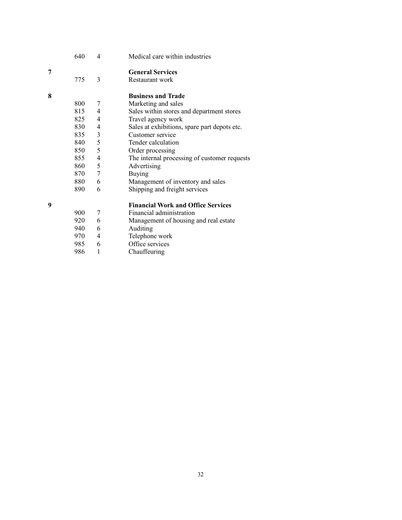|   | 640 | 4              | Medical care within industries               |
|---|-----|----------------|----------------------------------------------|
| 7 |     |                | <b>General Services</b>                      |
|   | 775 | 3              | Restaurant work                              |
| 8 |     |                | <b>Business and Trade</b>                    |
|   | 800 | 7              | Marketing and sales                          |
|   | 815 | 4              | Sales within stores and department stores    |
|   | 825 | $\overline{4}$ | Travel agency work                           |
|   | 830 | 4              | Sales at exhibitions, spare part depots etc. |
|   | 835 | 3              | Customer service                             |
|   | 840 | 5              | Tender calculation                           |
|   | 850 | 5              | Order processing                             |
|   | 855 | $\overline{4}$ | The internal processing of customer requests |
|   | 860 | 5              | Advertising                                  |
|   | 870 | $\overline{7}$ | <b>Buying</b>                                |
|   | 880 | 6              | Management of inventory and sales            |
|   | 890 | 6              | Shipping and freight services                |
| 9 |     |                | <b>Financial Work and Office Services</b>    |
|   | 900 | 7              | Financial administration                     |
|   | 920 | 6              | Management of housing and real estate        |
|   | 940 | 6              | Auditing                                     |
|   | 970 | 4              | Telephone work                               |
|   | 985 | 6              | Office services                              |
|   | 986 | 1              | Chauffeuring                                 |
|   |     |                |                                              |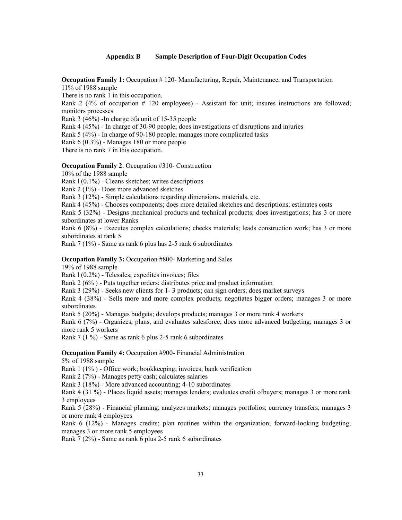#### Appendix B Sample Description of Four-Digit Occupation Codes

Occupation Family 1: Occupation # 120- Manufacturing, Repair, Maintenance, and Transportation 11% of 1988 sample

There is no rank 1 in this occupation.

Rank 2 (4% of occupation # 120 employees) - Assistant for unit; insures instructions are followed; monitors processes

Rank 3 (46%) -In charge ofa unit of 15-35 people

Rank 4 (45%) - In charge of 30-90 people; does investigations of disruptions and injuries

Rank 5 (4%) - In charge of 90-180 people; manages more complicated tasks

Rank 6 (0.3%) - Manages 180 or more people

There is no rank 7 in this occupation.

#### Occupation Family 2: Occupation #310- Construction

10% of the 1988 sample

Rank l (0.1%) - Cleans sketches; writes descriptions

Rank 2 (1%) - Does more advanced sketches

Rank 3 (12%) - Simple calculations regarding dimensions, materials, etc.

Rank 4 (45%) - Chooses components; does more detailed sketches and descriptions; estimates costs

Rank 5 (32%) - Designs mechanical products and technical products; does investigations; has 3 or more subordinates at lower Ranks

Rank 6 (8%) - Executes complex calculations; checks materials; leads construction work; has 3 or more subordinates at rank 5

Rank 7 (1%) - Same as rank 6 plus has 2-5 rank 6 subordinates

#### Occupation Family 3: Occupation #800- Marketing and Sales

19% of 1988 sample

Rank l (0.2%) - Telesales; expedites invoices; files

Rank 2 (6% ) - Puts together orders; distributes price and product information

Rank 3 (29%) - Seeks new clients for 1- 3 products; can sign orders; does market surveys

Rank 4 (38%) - Sells more and more complex products; negotiates bigger orders; manages 3 or more subordinates

Rank 5 (20%) - Manages budgets; develops products; manages 3 or more rank 4 workers

Rank 6 (7%) - Organizes, plans, and evaluates salesforce; does more advanced budgeting; manages 3 or more rank 5 workers

Rank 7 (1 %) - Same as rank 6 plus 2-5 rank 6 subordinates

Occupation Family 4: Occupation #900- Financial Administration

5% of 1988 sample

Rank 1 (1% ) - Office work; bookkeeping; invoices; bank verification

Rank 2 (7%) - Manages petty cash; calculates salaries

Rank 3 (18%) - More advanced accounting; 4-10 subordinates

Rank 4 (31 %) - Places liquid assets; manages lenders; evaluates credit ofbuyers; manages 3 or more rank 3 employees

Rank 5 (28%) - Financial planning; analyzes markets; manages portfolios; currency transfers; manages 3 or more rank 4 employees

Rank 6 (12%) - Manages credits; plan routines within the organization; forward-looking budgeting; manages 3 or more rank 5 employees

Rank 7 (2%) - Same as rank 6 plus 2-5 rank 6 subordinates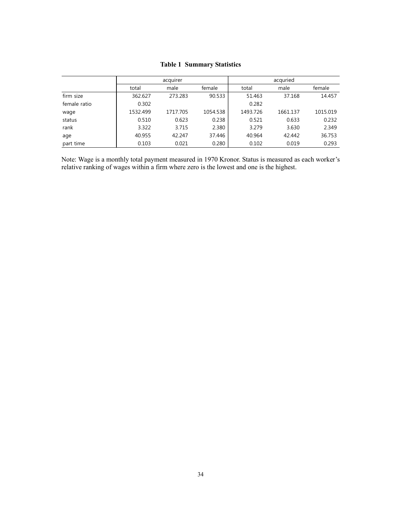|              |          | acquirer |          |          |                  |          |
|--------------|----------|----------|----------|----------|------------------|----------|
|              | total    | male     | female   | total    | acquried<br>male | female   |
| firm size    | 362.627  | 273.283  | 90.533   | 51.463   | 37.168           | 14.457   |
| female ratio | 0.302    |          |          | 0.282    |                  |          |
| wage         | 1532.499 | 1717.705 | 1054.538 | 1493.726 | 1661.137         | 1015.019 |
| status       | 0.510    | 0.623    | 0.238    | 0.521    | 0.633            | 0.232    |
| rank         | 3.322    | 3.715    | 2.380    | 3.279    | 3.630            | 2.349    |
| age          | 40.955   | 42.247   | 37.446   | 40.964   | 42.442           | 36.753   |
| part time    | 0.103    | 0.021    | 0.280    | 0.102    | 0.019            | 0.293    |

#### Table 1 Summary Statistics

Note: Wage is a monthly total payment measured in 1970 Kronor. Status is measured as each worker's relative ranking of wages within a firm where zero is the lowest and one is the highest.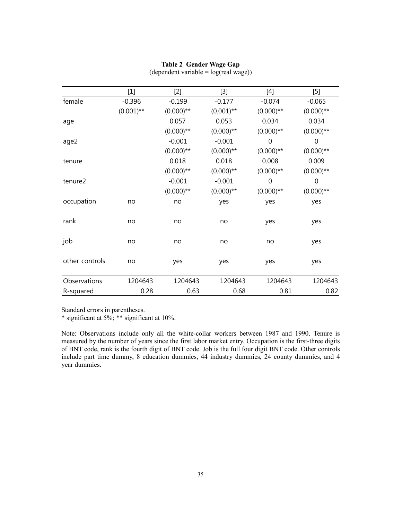|                | $[1]$        | [2]          | [3]          | $[4] % \includegraphics[width=0.9\columnwidth]{figures/fig_4} \caption{A=}\ \ \begin{bmatrix} \frac{1}{2} & \frac{1}{2} & \frac{1}{2} \\ \frac{1}{2} & \frac{1}{2} & \frac{1}{2} \\ \frac{1}{2} & \frac{1}{2} & \frac{1}{2} \\ \frac{1}{2} & \frac{1}{2} & \frac{1}{2} \\ \frac{1}{2} & \frac{1}{2} & \frac{1}{2} \\ \frac{1}{2} & \frac{1}{2} & \frac{1}{2} \\ \frac{1}{2} & \frac{1}{2} & \frac{1}{2} \\ \frac{1}{2} & \frac{1}{2} &$ | $[5]$        |
|----------------|--------------|--------------|--------------|-----------------------------------------------------------------------------------------------------------------------------------------------------------------------------------------------------------------------------------------------------------------------------------------------------------------------------------------------------------------------------------------------------------------------------------------|--------------|
| female         | $-0.396$     | $-0.199$     | $-0.177$     | $-0.074$                                                                                                                                                                                                                                                                                                                                                                                                                                | $-0.065$     |
|                | $(0.001)$ ** | $(0.000)$ ** | $(0.001)$ ** | $(0.000)$ **                                                                                                                                                                                                                                                                                                                                                                                                                            | $(0.000)$ ** |
| age            |              | 0.057        | 0.053        | 0.034                                                                                                                                                                                                                                                                                                                                                                                                                                   | 0.034        |
|                |              | $(0.000)$ ** | $(0.000)$ ** | $(0.000)$ **                                                                                                                                                                                                                                                                                                                                                                                                                            | $(0.000)$ ** |
| age2           |              | $-0.001$     | $-0.001$     | $\mathbf 0$                                                                                                                                                                                                                                                                                                                                                                                                                             | $\mathbf 0$  |
|                |              | $(0.000)$ ** | $(0.000)$ ** | $(0.000)$ **                                                                                                                                                                                                                                                                                                                                                                                                                            | $(0.000)$ ** |
| tenure         |              | 0.018        | 0.018        | 0.008                                                                                                                                                                                                                                                                                                                                                                                                                                   | 0.009        |
|                |              | $(0.000)$ ** | $(0.000)$ ** | $(0.000)$ **                                                                                                                                                                                                                                                                                                                                                                                                                            | $(0.000)$ ** |
| tenure2        |              | $-0.001$     | $-0.001$     | $\mathbf 0$                                                                                                                                                                                                                                                                                                                                                                                                                             | $\mathbf 0$  |
|                |              | $(0.000)$ ** | $(0.000)$ ** | $(0.000)$ **                                                                                                                                                                                                                                                                                                                                                                                                                            | $(0.000)$ ** |
| occupation     | no           | no           | yes          | yes                                                                                                                                                                                                                                                                                                                                                                                                                                     | yes          |
| rank           | no           | no           | no           | yes                                                                                                                                                                                                                                                                                                                                                                                                                                     | yes          |
| job            | no           | no           | no           | no                                                                                                                                                                                                                                                                                                                                                                                                                                      | yes          |
| other controls | no           | yes          | yes          | yes                                                                                                                                                                                                                                                                                                                                                                                                                                     | yes          |
| Observations   | 1204643      | 1204643      | 1204643      | 1204643                                                                                                                                                                                                                                                                                                                                                                                                                                 | 1204643      |
| R-squared      | 0.28         | 0.63         | 0.68         | 0.81                                                                                                                                                                                                                                                                                                                                                                                                                                    | 0.82         |

## Table 2 Gender Wage Gap

(dependent variable = log(real wage))

Standard errors in parentheses.

\* significant at 5%; \*\* significant at 10%.

Note: Observations include only all the white-collar workers between 1987 and 1990. Tenure is measured by the number of years since the first labor market entry. Occupation is the first-three digits of BNT code, rank is the fourth digit of BNT code. Job is the full four digit BNT code. Other controls include part time dummy, 8 education dummies, 44 industry dummies, 24 county dummies, and 4 year dummies.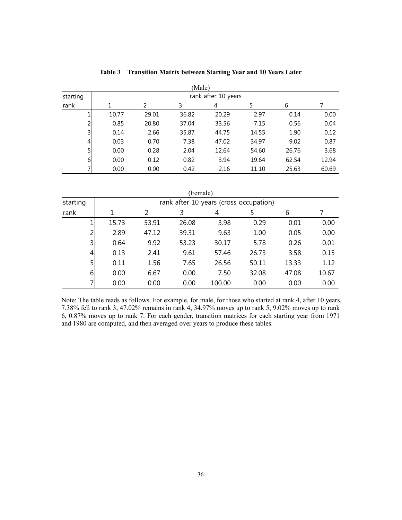|          | (Male)              |       |       |       |       |       |       |  |  |  |  |  |
|----------|---------------------|-------|-------|-------|-------|-------|-------|--|--|--|--|--|
| starting | rank after 10 years |       |       |       |       |       |       |  |  |  |  |  |
| rank     |                     | C,    | 3     | 4     |       | 6     |       |  |  |  |  |  |
|          | 10.77               | 29.01 | 36.82 | 20.29 | 2.97  | 0.14  | 0.00  |  |  |  |  |  |
| ∍        | 0.85                | 20.80 | 37.04 | 33.56 | 7.15  | 0.56  | 0.04  |  |  |  |  |  |
| 3        | 0.14                | 2.66  | 35.87 | 44.75 | 14.55 | 1.90  | 0.12  |  |  |  |  |  |
| 4        | 0.03                | 0.70  | 7.38  | 47.02 | 34.97 | 9.02  | 0.87  |  |  |  |  |  |
| 5        | 0.00                | 0.28  | 2.04  | 12.64 | 54.60 | 26.76 | 3.68  |  |  |  |  |  |
| 6        | 0.00                | 0.12  | 0.82  | 3.94  | 19.64 | 62.54 | 12.94 |  |  |  |  |  |
|          | 0.00                | 0.00  | 0.42  | 2.16  | 11.10 | 25.63 | 60.69 |  |  |  |  |  |

Table 3 Transition Matrix between Starting Year and 10 Years Later

| (Female)         |       |                                        |       |        |       |       |       |  |  |  |  |
|------------------|-------|----------------------------------------|-------|--------|-------|-------|-------|--|--|--|--|
| starting         |       | rank after 10 years (cross occupation) |       |        |       |       |       |  |  |  |  |
| rank             |       | $\mathcal{P}$                          | 3     | 4      | 5     | 6     |       |  |  |  |  |
| 1                | 15.73 | 53.91                                  | 26.08 | 3.98   | 0.29  | 0.01  | 0.00  |  |  |  |  |
| $\overline{2}$   | 2.89  | 47.12                                  | 39.31 | 9.63   | 1.00  | 0.05  | 0.00  |  |  |  |  |
| $\overline{3}$   | 0.64  | 9.92                                   | 53.23 | 30.17  | 5.78  | 0.26  | 0.01  |  |  |  |  |
| $\vert 4 \vert$  | 0.13  | 2.41                                   | 9.61  | 57.46  | 26.73 | 3.58  | 0.15  |  |  |  |  |
| 5 <sup>1</sup>   | 0.11  | 1.56                                   | 7.65  | 26.56  | 50.11 | 13.33 | 1.12  |  |  |  |  |
| $6 \overline{6}$ | 0.00  | 6.67                                   | 0.00  | 7.50   | 32.08 | 47.08 | 10.67 |  |  |  |  |
| 71               | 0.00  | 0.00                                   | 0.00  | 100.00 | 0.00  | 0.00  | 0.00  |  |  |  |  |

Note: The table reads as follows. For example, for male, for those who started at rank 4, after 10 years, 7.38% fell to rank 3, 47.02% remains in rank 4, 34.97% moves up to rank 5, 9.02% moves up to rank 6, 0.87% moves up to rank 7. For each gender, transition matrices for each starting year from 1971 and 1980 are computed, and then averaged over years to produce these tables.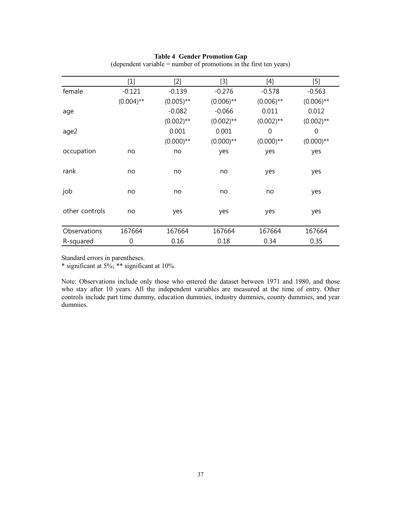#### Table 4 Gender Promotion Gap

|                | $[1]$        | $[2]$        | [3]          | $[4]$        | $[5] % \includegraphics[width=0.9\columnwidth]{figures/fig_10.pdf} \caption{The figure shows the number of times of the estimators in the right panel.} \label{fig:fig:1}$ |
|----------------|--------------|--------------|--------------|--------------|----------------------------------------------------------------------------------------------------------------------------------------------------------------------------|
| female         | $-0.121$     | $-0.139$     | $-0.276$     | $-0.578$     | $-0.563$                                                                                                                                                                   |
|                | $(0.004)$ ** | $(0.005)$ ** | $(0.006)$ ** | $(0.006)$ ** | $(0.006)$ **                                                                                                                                                               |
| age            |              | $-0.082$     | $-0.066$     | 0.011        | 0.012                                                                                                                                                                      |
|                |              | $(0.002)$ ** | $(0.002)$ ** | $(0.002)$ ** | $(0.002)$ **                                                                                                                                                               |
| age2           |              | 0.001        | 0.001        | 0            | $\mathbf 0$                                                                                                                                                                |
|                |              | $(0.000)$ ** | $(0.000)$ ** | $(0.000)$ ** | $(0.000)$ **                                                                                                                                                               |
| occupation     | no           | no           | yes          | yes          | yes                                                                                                                                                                        |
|                |              |              |              |              |                                                                                                                                                                            |
| rank           | no           | no           | no           | yes          | yes                                                                                                                                                                        |
|                |              |              |              |              |                                                                                                                                                                            |
| job            | no           | no           | no           | no           | yes                                                                                                                                                                        |
|                |              |              |              |              |                                                                                                                                                                            |
| other controls | no           | yes          | yes          | yes          | yes                                                                                                                                                                        |
|                |              |              |              |              |                                                                                                                                                                            |
| Observations   | 167664       | 167664       | 167664       | 167664       | 167664                                                                                                                                                                     |
| R-squared      | $\mathbf 0$  | 0.16         | 0.18         | 0.34         | 0.35                                                                                                                                                                       |

(dependent variable = number of promotions in the first ten years)

Standard errors in parentheses.

\* significant at  $5\%$ ; \*\* significant at  $10\%$ .

Note: Observations include only those who entered the dataset between 1971 and 1980, and those who stay after 10 years. All the independent variables are measured at the time of entry. Other controls include part time dummy, education dummies, industry dummies, county dummies, and year dummies.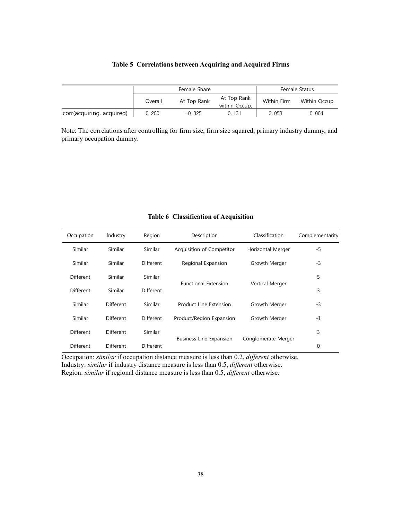|                           |         | Female Share | Female Status                |             |               |
|---------------------------|---------|--------------|------------------------------|-------------|---------------|
|                           | Overall | At Top Rank  | At Top Rank<br>within Occup. | Within Firm | Within Occup. |
| corr(acquiring, acquired) | 0.200   | $-0.325$     | 0.131                        | 0.058       | 0.064         |

Note: The correlations after controlling for firm size, firm size squared, primary industry dummy, and primary occupation dummy.

| Occupation       | Industry         | Region         | Description                    | Classification      | Complementarity |
|------------------|------------------|----------------|--------------------------------|---------------------|-----------------|
| Similar          | <b>Similar</b>   | <b>Similar</b> | Acquisition of Competitor      | Horizontal Merger   | $-5$            |
| Similar          | Similar          | Different      | Regional Expansion             | Growth Merger       | $-3$            |
| Different        | Similar          | Similar        |                                |                     | 5               |
| Different        | Similar          | Different      | <b>Functional Extension</b>    | Vertical Merger     | 3               |
| Similar          | <b>Different</b> | Similar        | Product Line Extension         | Growth Merger       | $-3$            |
| Similar          | Different        | Different      | Product/Region Expansion       | Growth Merger       | $-1$            |
| Different        | Different        | Similar        |                                |                     | 3               |
| <b>Different</b> | Different        | Different      | <b>Business Line Expansion</b> | Conglomerate Merger | 0               |

#### Table 6 Classification of Acquisition

Occupation: *similar* if occupation distance measure is less than 0.2, *different* otherwise. Industry: *similar* if industry distance measure is less than 0.5, *different* otherwise. Region: similar if regional distance measure is less than 0.5, different otherwise.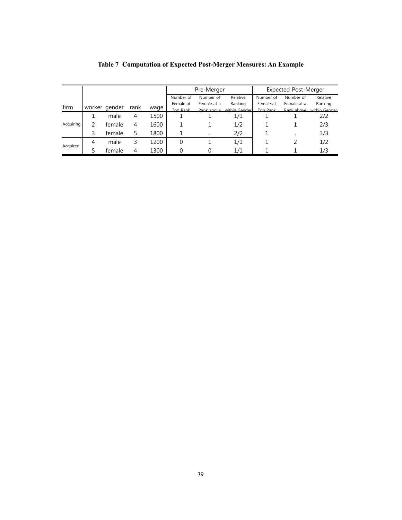|           |   |               |      |      | Pre-Merger |             |               | <b>Expected Post-Merger</b> |             |               |
|-----------|---|---------------|------|------|------------|-------------|---------------|-----------------------------|-------------|---------------|
|           |   |               |      |      | Number of  | Number of   | Relative      | Number of                   | Number of   | Relative      |
| firm      |   |               |      |      | Female at  | Female at a | Ranking       | Female at                   | Female at a | Ranking       |
|           |   | worker gender | rank | wage | Top Rank   | Rank above  | within Gender | Ton Rank                    | Rank above  | within Gender |
|           |   | male          | 4    | 1500 |            |             | 1/1           |                             |             | 2/2           |
| Acquiring |   | female        | 4    | 1600 |            |             | 1/2           |                             |             | 2/3           |
|           | 3 | female        | 5.   | 1800 |            |             | 2/2           |                             |             | 3/3           |
| Acquired  | 4 | male          | 3    | 1200 | $\Omega$   |             | 1/1           |                             |             | 1/2           |
|           |   | female        | 4    | 1300 |            |             | 1/1           |                             |             | 1/3           |

## Table 7 Computation of Expected Post-Merger Measures: An Example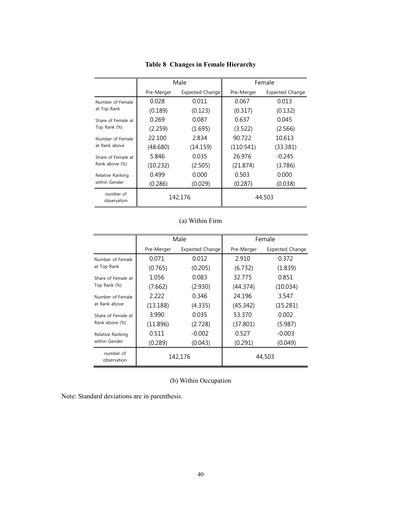|                          |            | Male            |            | Female                 |  |  |
|--------------------------|------------|-----------------|------------|------------------------|--|--|
|                          | Pre-Merger | Expected Change | Pre-Merger | <b>Expected Change</b> |  |  |
| Number of Female         | 0.028      | 0.011           | 0.067      | 0.013                  |  |  |
| at Top Rank              | (0.189)    | (0.123)         | (0.317)    | (0.132)                |  |  |
| Share of Female at       | 0.269      | 0.087           | 0.637      | 0.045                  |  |  |
| Top Rank (%)             | (2.259)    | (1.695)         | (3.522)    | (2.566)                |  |  |
| Number of Female         | 22.100     | 2.834           | 90.722     | 10.613                 |  |  |
| at Rank above            | (48.680)   | (14.159)        | (110.541)  | (33.381)               |  |  |
| Share of Female at       | 5.846      | 0.035           | 26.976     | $-0.245$               |  |  |
| Rank above (%)           | (10.232)   | (2.505)         | (21.874)   | (3.786)                |  |  |
| Relative Ranking         | 0.499      | 0.000           | 0.503      | 0.000                  |  |  |
| within Gender            | (0.286)    | (0.029)         | (0.287)    | (0.038)                |  |  |
| number of<br>observation |            | 142,176         | 44,503     |                        |  |  |

## Table 8 Changes in Female Hierarchy

## (a) Within Firm

|                          |            | Male            |            | Female                 |
|--------------------------|------------|-----------------|------------|------------------------|
|                          | Pre-Merger | Expected Change | Pre-Merger | <b>Expected Change</b> |
| Number of Female         | 0.071      | 0.012           | 2.910      | 0.372                  |
| at Top Rank              | (0.765)    | (0.205)         | (6.732)    | (1.839)                |
| Share of Female at       | 1.056      | 0.083           | 32.775     | 0.851                  |
| Top Rank (%)             | (7.662)    | (2.930)         | (44.374)   | (10.034)               |
| Number of Female         | 2.222      | 0.346           | 24.196     | 3.547                  |
| at Rank above            | (13.188)   | (4.335)         | (45.342)   | (15.281)               |
| Share of Female at       | 3.990      | 0.035           | 53.370     | 0.002                  |
| Rank above (%)           | (11.896)   | (2.728)         | (37.801)   | (5.987)                |
| Relative Ranking         | 0.511      | $-0.002$        | 0.527      | $-0.003$               |
| within Gender            | (0.289)    | (0.043)         | (0.291)    | (0.049)                |
| number of<br>observation | 142,176    |                 |            | 44,503                 |

(b) Within Occupation

Note: Standard deviations are in parenthesis.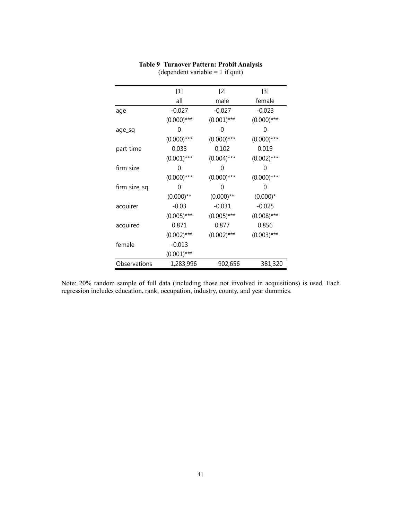|              | $[1]$         | $[2]$         | $[3]$         |
|--------------|---------------|---------------|---------------|
|              | all           | male          | female        |
| age          | $-0.027$      | $-0.027$      | $-0.023$      |
|              | $(0.000)$ *** | $(0.001)$ *** | $(0.000)$ *** |
| age_sq       | 0             | O             | 0             |
|              | $(0.000)$ *** | $(0.000)$ *** | $(0.000)$ *** |
| part time    | 0.033         | 0.102         | 0.019         |
|              | $(0.001)$ *** | $(0.004)$ *** | $(0.002)$ *** |
| firm size    | 0             | $\mathcal{O}$ | 0             |
|              | $(0.000)$ *** | $(0.000)$ *** | $(0.000)$ *** |
| firm size_sq | 0             | O             | 0             |
|              | $(0.000)$ **  | $(0.000)$ **  | $(0.000)*$    |
| acquirer     | $-0.03$       | $-0.031$      | $-0.025$      |
|              | $(0.005)$ *** | $(0.005)$ *** | $(0.008)$ *** |
| acquired     | 0.871         | 0.877         | 0.856         |
|              | $(0.002)$ *** | $(0.002)$ *** | $(0.003)$ *** |
| female       | $-0.013$      |               |               |
|              | $(0.001)$ *** |               |               |
| Observations | 1,283,996     | 902,656       | 381,320       |

## Table 9 Turnover Pattern: Probit Analysis

(dependent variable  $= 1$  if quit)

Note: 20% random sample of full data (including those not involved in acquisitions) is used. Each regression includes education, rank, occupation, industry, county, and year dummies.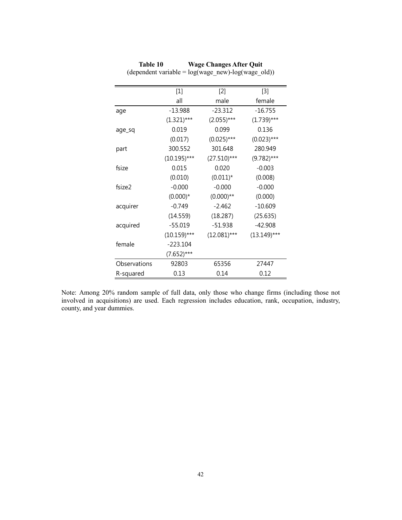|              | $[1]$          | $[2]$         | $[3]$          |
|--------------|----------------|---------------|----------------|
|              | all            | male          | female         |
| age          | $-13.988$      | $-23.312$     | $-16.755$      |
|              | $(1.321)$ ***  | $(2.055)***$  | $(1.739)$ ***  |
| age_sq       | 0.019          | 0.099         | 0.136          |
|              | (0.017)        | $(0.025)$ *** | $(0.023)$ ***  |
| part         | 300.552        | 301.648       | 280.949        |
|              | $(10.195)$ *** | $(27.510)***$ | $(9.782)$ ***  |
| fsize        | 0.015          | 0.020         | $-0.003$       |
|              | (0.010)        | $(0.011)^*$   | (0.008)        |
| fsize2       | $-0.000$       | $-0.000$      | $-0.000$       |
|              | $(0.000)*$     | $(0.000)$ **  | (0.000)        |
| acquirer     | $-0.749$       | $-2.462$      | $-10.609$      |
|              | (14.559)       | (18.287)      | (25.635)       |
| acquired     | $-55.019$      | $-51.938$     | $-42.908$      |
|              | $(10.159)$ *** | $(12.081)***$ | $(13.149)$ *** |
| female       | $-223.104$     |               |                |
|              | $(7.652)***$   |               |                |
| Observations | 92803          | 65356         | 27447          |
| R-squared    | 0.13           | 0.14          | 0.12           |

Table 10 Wage Changes After Quit (dependent variable =  $log(wage new)$ -log(wage\_old))

Note: Among 20% random sample of full data, only those who change firms (including those not involved in acquisitions) are used. Each regression includes education, rank, occupation, industry, county, and year dummies.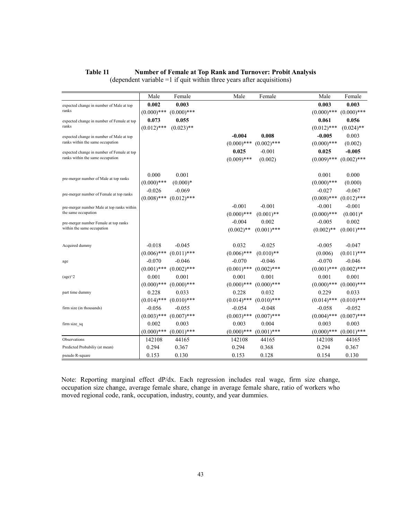#### Table 11 **Number of Female at Top Rank and Turnover: Probit Analysis**

|                                            | Male          | Female        | Male          | Female        | Male          | Female        |
|--------------------------------------------|---------------|---------------|---------------|---------------|---------------|---------------|
| expected change in number of Male at top   | 0.002         | 0.003         |               |               | 0.003         | 0.003         |
| ranks                                      | $(0.000)$ *** | $(0.000)$ *** |               |               | $(0.000)$ *** | $(0.000)$ *** |
| expected change in number of Female at top | 0.073         | 0.055         |               |               | 0.061         | 0.056         |
| ranks                                      | $(0.012)$ *** | $(0.023)$ **  |               |               | $(0.012)$ *** | $(0.024)$ **  |
| expected change in number of Male at top   |               |               | $-0.004$      | 0.008         | $-0.005$      | 0.003         |
| ranks within the same occupation           |               |               | $(0.000)$ *** | $(0.002)$ *** | $(0.000)$ *** | (0.002)       |
| expected change in number of Female at top |               |               | 0.025         | $-0.001$      | 0.025         | $-0.005$      |
| ranks within the same occupation           |               |               | $(0.009)$ *** | (0.002)       | $(0.009)$ *** | $(0.002)$ *** |
|                                            |               |               |               |               |               |               |
| pre-merger number of Male at top ranks     | 0.000         | 0.001         |               |               | 0.001         | 0.000         |
|                                            | $(0.000)$ *** | $(0.000)*$    |               |               | $(0.000)$ *** | (0.000)       |
| pre-merger number of Female at top ranks   | $-0.026$      | $-0.069$      |               |               | $-0.027$      | $-0.067$      |
|                                            | $(0.008)$ *** | $(0.012)$ *** |               |               | $(0.008)$ *** | $(0.012)$ *** |
| pre-merger number Male at top ranks within |               |               | $-0.001$      | $-0.001$      | $-0.001$      | $-0.001$      |
| the same occupation                        |               |               | $(0.000)$ *** | $(0.001)$ **  | $(0.000)$ *** | $(0.001)*$    |
| pre-merger number Female at top ranks      |               |               | $-0.004$      | 0.002         | $-0.005$      | 0.002         |
| within the same occupation                 |               |               | $(0.002)$ **  | $(0.001)$ *** | $(0.002)$ **  | $(0.001)$ *** |
|                                            |               |               |               |               |               |               |
| Acquired dummy                             | $-0.018$      | $-0.045$      | 0.032         | $-0.025$      | $-0.005$      | $-0.047$      |
|                                            | $(0.006)$ *** | $(0.011)$ *** | $(0.006)$ *** | $(0.010)$ **  | (0.006)       | $(0.011)$ *** |
| age                                        | $-0.070$      | $-0.046$      | $-0.070$      | $-0.046$      | $-0.070$      | $-0.046$      |
|                                            | $(0.001)$ *** | $(0.002)$ *** | $(0.001)$ *** | $(0.002)$ *** | $(0.001)$ *** | $(0.002)$ *** |
| $(age)^2$                                  | 0.001         | 0.001         | 0.001         | 0.001         | 0.001         | 0.001         |
|                                            | $(0.000)$ *** | $(0.000)$ *** | $(0.000)$ *** | $(0.000)$ *** | $(0.000)$ *** | $(0.000)$ *** |
| part time dummy                            | 0.228         | 0.033         | 0.228         | 0.032         | 0.229         | 0.033         |
|                                            | $(0.014)$ *** | $(0.010)$ *** | $(0.014)$ *** | $(0.010)$ *** | $(0.014)$ *** | $(0.010)$ *** |
| firm size (in thousands)                   | $-0.056$      | $-0.055$      | $-0.054$      | $-0.048$      | $-0.058$      | $-0.052$      |
|                                            | $(0.003)$ *** | $(0.007)$ *** | $(0.003)$ *** | $(0.007)$ *** | $(0.004)$ *** | $(0.007)$ *** |
| firm size sq                               | 0.002         | 0.003         | 0.003         | 0.004         | 0.003         | 0.003         |
|                                            | $(0.000)$ *** | $(0.001)$ *** | $(0.000)$ *** | $(0.001)$ *** | $(0.000)$ *** | $(0.001)$ *** |
| Observations                               | 142108        | 44165         | 142108        | 44165         | 142108        | 44165         |
| Predicted Probabiliy (at mean)             | 0.294         | 0.367         | 0.294         | 0.368         | 0.294         | 0.367         |
| pseudo R-square                            | 0.153         | 0.130         | 0.153         | 0.128         | 0.154         | 0.130         |

(dependent variable =1 if quit within three years after acquisitions)

Note: Reporting marginal effect dP/dx. Each regression includes real wage, firm size change, occupation size change, average female share, change in average female share, ratio of workers who moved regional code, rank, occupation, industry, county, and year dummies.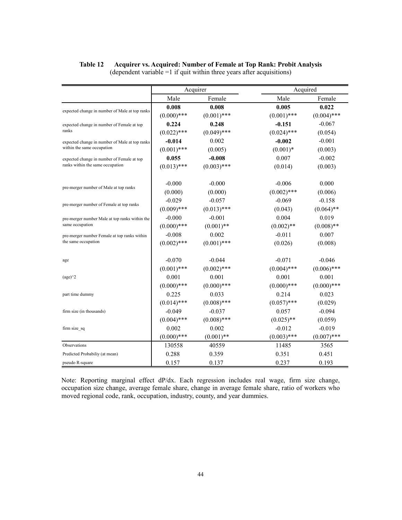# Table 12 Acquirer vs. Acquired: Number of Female at Top Rank: Probit Analysis

|                                                |               | Acquirer      | Acquired      |               |
|------------------------------------------------|---------------|---------------|---------------|---------------|
|                                                | Male          | Female        | Male          | Female        |
| expected change in number of Male at top ranks | 0.008         | 0.008         | 0.005         | 0.022         |
|                                                | $(0.000)$ *** | $(0.001)$ *** | $(0.001)$ *** | $(0.004)$ *** |
| expected change in number of Female at top     | 0.224         | 0.248         | $-0.151$      | $-0.067$      |
| ranks                                          | $(0.022)$ *** | $(0.049)$ *** | $(0.024)$ *** | (0.054)       |
| expected change in number of Male at top ranks | $-0.014$      | 0.002         | $-0.002$      | $-0.001$      |
| within the same occupation                     | $(0.001)$ *** | (0.005)       | $(0.001)*$    | (0.003)       |
| expected change in number of Female at top     | 0.055         | $-0.008$      | 0.007         | $-0.002$      |
| ranks within the same occupation               | $(0.013)$ *** | $(0.003)$ *** | (0.014)       | (0.003)       |
|                                                | $-0.000$      | $-0.000$      | $-0.006$      | 0.000         |
| pre-merger number of Male at top ranks         | (0.000)       | (0.000)       | $(0.002)$ *** | (0.006)       |
|                                                | $-0.029$      | $-0.057$      | $-0.069$      | $-0.158$      |
| pre-merger number of Female at top ranks       | $(0.009)$ *** | $(0.013)$ *** | (0.043)       | $(0.064)$ **  |
| pre-merger number Male at top ranks within the | $-0.000$      | $-0.001$      | 0.004         | 0.019         |
| same occupation                                | $(0.000)$ *** | $(0.001)$ **  | $(0.002)$ **  | $(0.008)$ **  |
| pre-merger number Female at top ranks within   | $-0.008$      | 0.002         | $-0.011$      | 0.007         |
| the same occupation                            | $(0.002)$ *** | $(0.001)$ *** | (0.026)       | (0.008)       |
| age                                            | $-0.070$      | $-0.044$      | $-0.071$      | $-0.046$      |
|                                                | $(0.001)$ *** | $(0.002)$ *** | $(0.004)$ *** | $(0.006)$ *** |
| $\frac{1}{2}$                                  | 0.001         | 0.001         | 0.001         | 0.001         |
|                                                | $(0.000)$ *** | $(0.000)$ *** | $(0.000)$ *** | $(0.000)$ *** |
| part time dummy                                | 0.225         | 0.033         | 0.214         | 0.023         |
|                                                | $(0.014)$ *** | $(0.008)$ *** | $(0.057)$ *** | (0.029)       |
| firm size (in thousands)                       | $-0.049$      | $-0.037$      | 0.057         | $-0.094$      |
|                                                | $(0.004)$ *** | $(0.008)$ *** | $(0.025)$ **  | (0.059)       |
| firm size sq                                   | 0.002         | 0.002         | $-0.012$      | $-0.019$      |
|                                                | $(0.000)$ *** | $(0.001)$ **  | $(0.003)$ *** | $(0.007)$ *** |
| Observations                                   | 130558        | 40559         | 11485         | 3565          |
| Predicted Probabiliy (at mean)                 | 0.288         | 0.359         | 0.351         | 0.451         |
| pseudo R-square                                | 0.157         | 0.137         | 0.237         | 0.193         |

(dependent variable =1 if quit within three years after acquisitions)

Note: Reporting marginal effect dP/dx. Each regression includes real wage, firm size change, occupation size change, average female share, change in average female share, ratio of workers who moved regional code, rank, occupation, industry, county, and year dummies.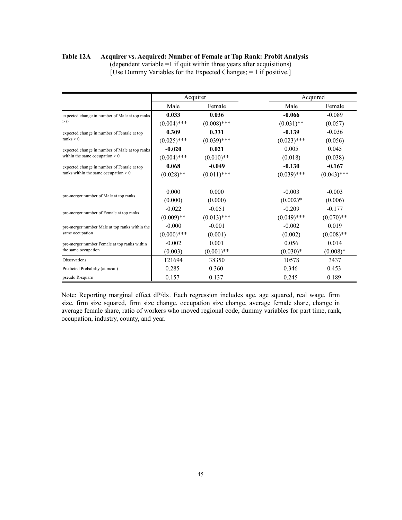#### Table 12A Acquirer vs. Acquired: Number of Female at Top Rank: Probit Analysis

|                                                | Acquirer      |               |               | Acquired      |
|------------------------------------------------|---------------|---------------|---------------|---------------|
|                                                | Male          | Female        | Male          | Female        |
| expected change in number of Male at top ranks | 0.033         | 0.036         | $-0.066$      | $-0.089$      |
| > 0                                            | $(0.004)$ *** | $(0.008)$ *** | $(0.031)$ **  | (0.057)       |
| expected change in number of Female at top     | 0.309         | 0.331         | $-0.139$      | $-0.036$      |
| ranks > 0                                      | $(0.025)$ *** | $(0.039)$ *** | $(0.023)$ *** | (0.056)       |
| expected change in number of Male at top ranks | $-0.020$      | 0.021         | 0.005         | 0.045         |
| within the same occupation $> 0$               | $(0.004)$ *** | $(0.010)**$   | (0.018)       | (0.038)       |
| expected change in number of Female at top     | 0.068         | $-0.049$      | $-0.130$      | $-0.167$      |
| ranks within the same occupation $> 0$         | $(0.028)$ **  | $(0.011)$ *** | $(0.039)$ *** | $(0.043)$ *** |
| pre-merger number of Male at top ranks         | 0.000         | 0.000         | $-0.003$      | $-0.003$      |
|                                                | (0.000)       | (0.000)       | $(0.002)*$    | (0.006)       |
| pre-merger number of Female at top ranks       | $-0.022$      | $-0.051$      | $-0.209$      | $-0.177$      |
|                                                | $(0.009)$ **  | $(0.013)$ *** | $(0.049)$ *** | $(0.070)**$   |
| pre-merger number Male at top ranks within the | $-0.000$      | $-0.001$      | $-0.002$      | 0.019         |
| same occupation                                | $(0.000)$ *** | (0.001)       | (0.002)       | $(0.008)$ **  |
| pre-merger number Female at top ranks within   | $-0.002$      | 0.001         | 0.056         | 0.014         |
| the same occupation                            | (0.003)       | $(0.001)$ **  | $(0.030)*$    | $(0.008)*$    |
| Observations                                   | 121694        | 38350         | 10578         | 3437          |
| Predicted Probabiliy (at mean)                 | 0.285         | 0.360         | 0.346         | 0.453         |
| pseudo R-square                                | 0.157         | 0.137         | 0.245         | 0.189         |

(dependent variable =1 if quit within three years after acquisitions) [Use Dummy Variables for the Expected Changes; = 1 if positive.]

Note: Reporting marginal effect dP/dx. Each regression includes age, age squared, real wage, firm size, firm size squared, firm size change, occupation size change, average female share, change in average female share, ratio of workers who moved regional code, dummy variables for part time, rank, occupation, industry, county, and year.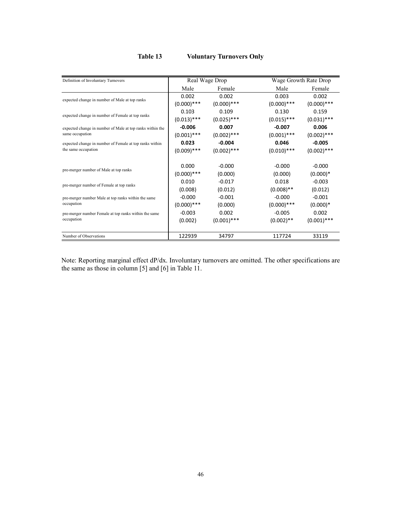## Table 13 Voluntary Turnovers Only

| Definition of Involuntary Turnovers                       |               | Real Wage Drop | Wage Growth Rate Drop |               |
|-----------------------------------------------------------|---------------|----------------|-----------------------|---------------|
|                                                           | Male          | Female         | Male                  | Female        |
| expected change in number of Male at top ranks            | 0.002         | 0.002          | 0.003                 | 0.002         |
|                                                           | $(0.000)$ *** | $(0.000)$ ***  | $(0.000)$ ***         | $(0.000)$ *** |
| expected change in number of Female at top ranks          | 0.103         | 0.109          | 0.130                 | 0.159         |
|                                                           | $(0.013)$ *** | $(0.025)$ ***  | $(0.015)$ ***         | $(0.031)$ *** |
| expected change in number of Male at top ranks within the | $-0.006$      | 0.007          | $-0.007$              | 0.006         |
| same occupation                                           | $(0.001)$ *** | $(0.002)$ ***  | $(0.001)$ ***         | $(0.002)$ *** |
| expected change in number of Female at top ranks within   | 0.023         | $-0.004$       | 0.046                 | $-0.005$      |
| the same occupation                                       | $(0.009)$ *** | $(0.002)$ ***  | $(0.010)$ ***         | $(0.002)$ *** |
|                                                           |               |                |                       |               |
| pre-merger number of Male at top ranks                    | 0.000         | $-0.000$       | $-0.000$              | $-0.000$      |
|                                                           | $(0.000)$ *** | (0.000)        | (0.000)               | $(0.000)*$    |
| pre-merger number of Female at top ranks                  | 0.010         | $-0.017$       | 0.018                 | $-0.003$      |
|                                                           | (0.008)       | (0.012)        | $(0.008)$ **          | (0.012)       |
| pre-merger number Male at top ranks within the same       | $-0.000$      | $-0.001$       | $-0.000$              | $-0.001$      |
| occupation                                                | $(0.000)$ *** | (0.000)        | $(0.000)$ ***         | $(0.000)*$    |
| pre-merger number Female at top ranks within the same     | $-0.003$      | 0.002          | $-0.005$              | 0.002         |
| occupation                                                | (0.002)       | $(0.001)$ ***  | $(0.002)$ **          | $(0.001)$ *** |
|                                                           |               |                |                       |               |
| Number of Observations                                    | 122939        | 34797          | 117724                | 33119         |

Note: Reporting marginal effect dP/dx. Involuntary turnovers are omitted. The other specifications are the same as those in column [5] and [6] in Table 11.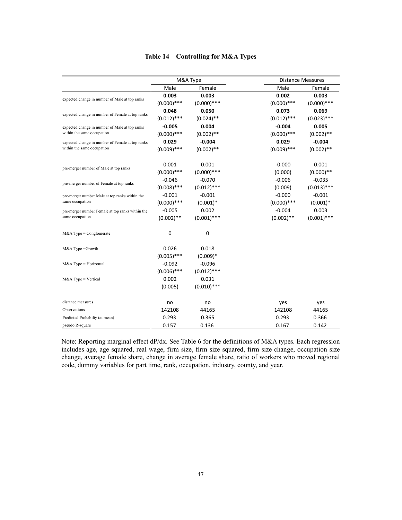|  | Table 14 Controlling for M&A Types |  |
|--|------------------------------------|--|
|--|------------------------------------|--|

|                                                                   |               | M&A Type      |               | <b>Distance Measures</b> |
|-------------------------------------------------------------------|---------------|---------------|---------------|--------------------------|
|                                                                   | Male          | Female        | Male          | Female                   |
| expected change in number of Male at top ranks                    | 0.003         | 0.003         | 0.002         | 0.003                    |
|                                                                   | $(0.000)$ *** | $(0.000)$ *** | $(0.000)$ *** | $(0.000)$ ***            |
| expected change in number of Female at top ranks                  | 0.048         | 0.050         | 0.073         | 0.069                    |
|                                                                   | $(0.012)$ *** | $(0.024)$ **  | $(0.012)$ *** | $(0.023)$ ***            |
| expected change in number of Male at top ranks                    | $-0.005$      | 0.004         | $-0.004$      | 0.005                    |
| within the same occupation                                        | $(0.000)$ *** | $(0.002)$ **  | $(0.000)$ *** | $(0.002)$ **             |
| expected change in number of Female at top ranks                  | 0.029         | $-0.004$      | 0.029         | $-0.004$                 |
| within the same occupation                                        | $(0.009)$ *** | $(0.002)$ **  | $(0.009)$ *** | $(0.002)$ **             |
|                                                                   | 0.001         | 0.001         | $-0.000$      | 0.001                    |
| pre-merger number of Male at top ranks                            | $(0.000)$ *** | $(0.000)$ *** | (0.000)       | $(0.000)**$              |
|                                                                   | $-0.046$      | $-0.070$      | $-0.006$      | $-0.035$                 |
| pre-merger number of Female at top ranks                          | $(0.008)$ *** | $(0.012)$ *** | (0.009)       | $(0.013)$ ***            |
| pre-merger number Male at top ranks within the<br>same occupation | $-0.001$      | $-0.001$      | $-0.000$      | $-0.001$                 |
|                                                                   | $(0.000)$ *** | $(0.001)*$    | $(0.000)$ *** | $(0.001)^*$              |
| pre-merger number Female at top ranks within the                  | $-0.005$      | 0.002         | $-0.004$      | 0.003                    |
| same occupation                                                   | $(0.002)$ **  | $(0.001)$ *** | $(0.002)$ **  | $(0.001)$ ***            |
| $M&A$ Type = Conglomerate                                         | 0             | 0             |               |                          |
| M&A Type =Growth                                                  | 0.026         | 0.018         |               |                          |
|                                                                   | $(0.005)$ *** | $(0.009)*$    |               |                          |
| $M&A$ Type = Horizontal                                           | $-0.092$      | $-0.096$      |               |                          |
|                                                                   | $(0.006)$ *** | $(0.012)$ *** |               |                          |
| $M&A$ Type = Vertical                                             | 0.002         | 0.031         |               |                          |
|                                                                   | (0.005)       | $(0.010)$ *** |               |                          |
| distance measures                                                 | no            | no            | yes           | yes                      |
| Observations                                                      | 142108        | 44165         | 142108        | 44165                    |
| Predicted Probabiliy (at mean)                                    | 0.293         | 0.365         | 0.293         | 0.366                    |
| pseudo R-square                                                   | 0.157         | 0.136         | 0.167         | 0.142                    |

Note: Reporting marginal effect dP/dx. See Table 6 for the definitions of M&A types. Each regression includes age, age squared, real wage, firm size, firm size squared, firm size change, occupation size change, average female share, change in average female share, ratio of workers who moved regional code, dummy variables for part time, rank, occupation, industry, county, and year.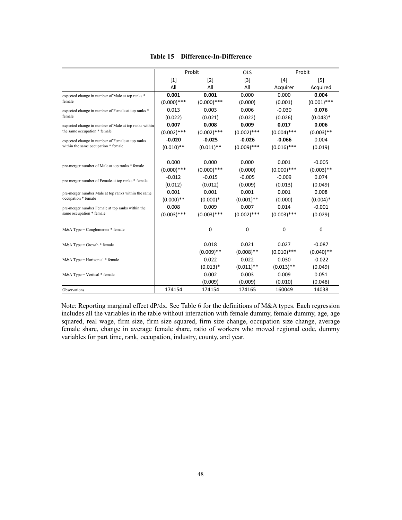|                                                       |               | Probit        | OLS           |               | Probit        |
|-------------------------------------------------------|---------------|---------------|---------------|---------------|---------------|
|                                                       | $[1]$         | $[2]$         | $[3]$         | [4]           | [5]           |
|                                                       | All           | All           | All           | Acquirer      | Acquired      |
| expected change in number of Male at top ranks *      | 0.001         | 0.001         | 0.000         | 0.000         | 0.004         |
| female                                                | $(0.000)$ *** | $(0.000)$ *** | (0.000)       | (0.001)       | $(0.001)$ *** |
| expected change in number of Female at top ranks *    | 0.013         | 0.003         | 0.006         | $-0.030$      | 0.076         |
| female                                                | (0.022)       | (0.021)       | (0.022)       | (0.026)       | $(0.043)*$    |
| expected change in number of Male at top ranks within | 0.007         | 0.008         | 0.009         | 0.017         | 0.006         |
| the same occupation * female                          | $(0.002)$ *** | $(0.002)$ *** | $(0.002)$ *** | $(0.004)$ *** | $(0.003)$ **  |
| expected change in number of Female at top ranks      | $-0.020$      | $-0.025$      | $-0.026$      | $-0.066$      | 0.004         |
| within the same occupation * female                   | $(0.010)$ **  | $(0.011)$ **  | $(0.009)$ *** | $(0.016)$ *** | (0.019)       |
|                                                       |               |               |               |               |               |
| pre-merger number of Male at top ranks * female       | 0.000         | 0.000         | 0.000         | 0.001         | $-0.005$      |
|                                                       | $(0.000)$ *** | $(0.000)$ *** | (0.000)       | $(0.000)$ *** | $(0.003)$ **  |
| pre-merger number of Female at top ranks * female     | $-0.012$      | $-0.015$      | $-0.005$      | $-0.009$      | 0.074         |
|                                                       | (0.012)       | (0.012)       | (0.009)       | (0.013)       | (0.049)       |
| pre-merger number Male at top ranks within the same   | 0.001         | 0.001         | 0.001         | 0.001         | 0.008         |
| occupation * female                                   | $(0.000)**$   | $(0.000)*$    | $(0.001)$ **  | (0.000)       | $(0.004)$ *   |
| pre-merger number Female at top ranks within the      | 0.008         | 0.009         | 0.007         | 0.014         | $-0.001$      |
| same occupation * female                              | $(0.003)$ *** | $(0.003)$ *** | $(0.002)$ *** | $(0.003)$ *** | (0.029)       |
|                                                       |               |               |               |               |               |
| $M&A$ Type = Conglomerate $*$ female                  |               | 0             | 0             | 0             | 0             |
|                                                       |               |               |               |               |               |
| $M&A$ Type = Growth $*$ female                        |               | 0.018         | 0.021         | 0.027         | $-0.087$      |
|                                                       |               | $(0.009)$ **  | $(0.008)$ **  | $(0.010)$ *** | $(0.040)$ **  |
| M&A Type = Horizontal * female                        |               | 0.022         | 0.022         | 0.030         | $-0.022$      |
|                                                       |               | $(0.013)*$    | $(0.011)$ **  | $(0.013)$ **  | (0.049)       |
| $M&A$ Type = Vertical $*$ female                      |               | 0.002         | 0.003         | 0.009         | 0.051         |
|                                                       |               | (0.009)       | (0.009)       | (0.010)       | (0.048)       |
| Observations                                          | 174154        | 174154        | 174165        | 160049        | 14038         |

Note: Reporting marginal effect dP/dx. See Table 6 for the definitions of M&A types. Each regression includes all the variables in the table without interaction with female dummy, female dummy, age, age squared, real wage, firm size, firm size squared, firm size change, occupation size change, average female share, change in average female share, ratio of workers who moved regional code, dummy variables for part time, rank, occupation, industry, county, and year.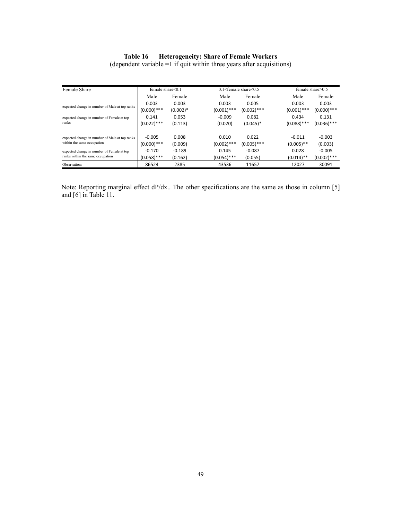#### Table 16 Heterogeneity: Share of Female Workers

(dependent variable =1 if quit within three years after acquisitions)

| Female Share                                   | female share $<0.1$ |            |               | $0.1$ <female 0.5<="" <="" share="" th=""><th colspan="2">female share<math>&gt;0.5</math></th></female> |               | female share $>0.5$ |  |
|------------------------------------------------|---------------------|------------|---------------|----------------------------------------------------------------------------------------------------------|---------------|---------------------|--|
|                                                | Male                | Female     | Male          | Female                                                                                                   | Male          | Female              |  |
| expected change in number of Male at top ranks | 0.003               | 0.003      | 0.003         | 0.005                                                                                                    | 0.003         | 0.003               |  |
|                                                | $(0.000)$ ***       | $(0.002)*$ | $(0.001)$ *** | $(0.002)$ ***                                                                                            | $(0.001)$ *** | $(0.000)$ ***       |  |
| expected change in number of Female at top     | 0.141               | 0.053      | $-0.009$      | 0.082                                                                                                    | 0.434         | 0.131               |  |
| ranks                                          | $(0.022)$ ***       | (0.113)    | (0.020)       | $(0.045)^*$                                                                                              | $(0.088)$ *** | $(0.036)$ ***       |  |
|                                                |                     |            |               |                                                                                                          |               |                     |  |
| expected change in number of Male at top ranks | $-0.005$            | 0.008      | 0.010         | 0.022                                                                                                    | $-0.011$      | $-0.003$            |  |
| within the same occupation                     | $(0.000)$ ***       | (0.009)    | $(0.002)$ *** | $(0.005)$ ***                                                                                            | $(0.005)$ **  | (0.003)             |  |
| expected change in number of Female at top     | $-0.170$            | $-0.189$   | 0.145         | $-0.087$                                                                                                 | 0.028         | $-0.005$            |  |
| ranks within the same occupation               | $(0.058)$ ***       | (0.162)    | $(0.054)$ *** | (0.055)                                                                                                  | $(0.014)$ **  | $(0.002)$ ***       |  |
| Observations                                   | 86524               | 2385       | 43536         | 11657                                                                                                    | 12027         | 30091               |  |

Note: Reporting marginal effect dP/dx.. The other specifications are the same as those in column [5] and [6] in Table 11.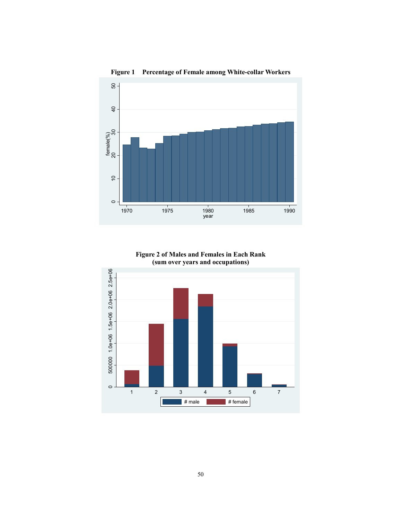

Figure 1 Percentage of Female among White-collar Workers



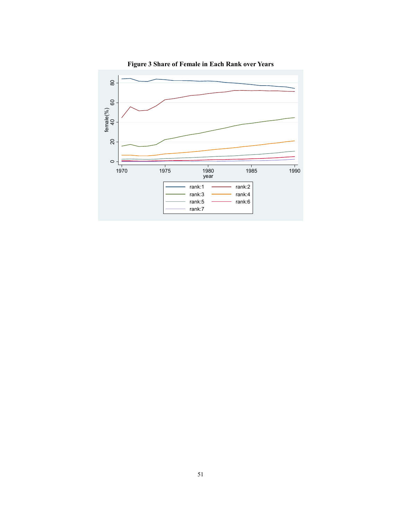

Figure 3 Share of Female in Each Rank over Years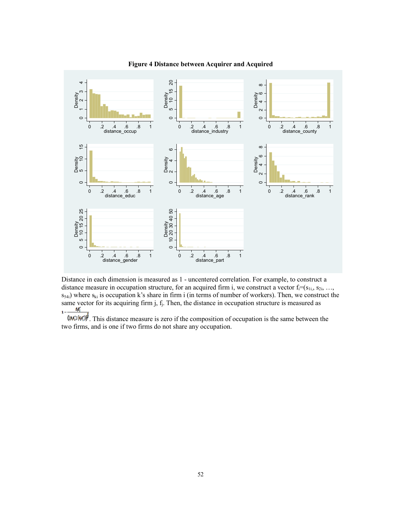

#### Figure 4 Distance between Acquirer and Acquired

Distance in each dimension is measured as 1 - uncentered correlation. For example, to construct a distance measure in occupation structure, for an acquired firm i, we construct a vector  $f_i = (s_{1i}, s_{2i}, \ldots, s_{ni})$  $s_{54i}$ ) where  $s_{ki}$  is occupation k's share in firm i (in terms of number of workers). Then, we construct the same vector for its acquiring firm  $j$ ,  $f_j$ . Then, the distance in occupation structure is measured as  $\mathbf{r}$ 

 $\sqrt{(n_1/n_2(n_1))^2}$ . This distance measure is zero if the composition of occupation is the same between the two firms, and is one if two firms do not share any occupation.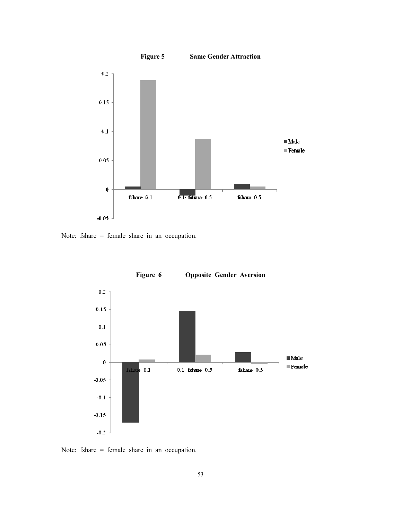

Note: fshare = female share in an occupation.



Figure 6 Opposite Gender Aversion

Note: fshare = female share in an occupation.